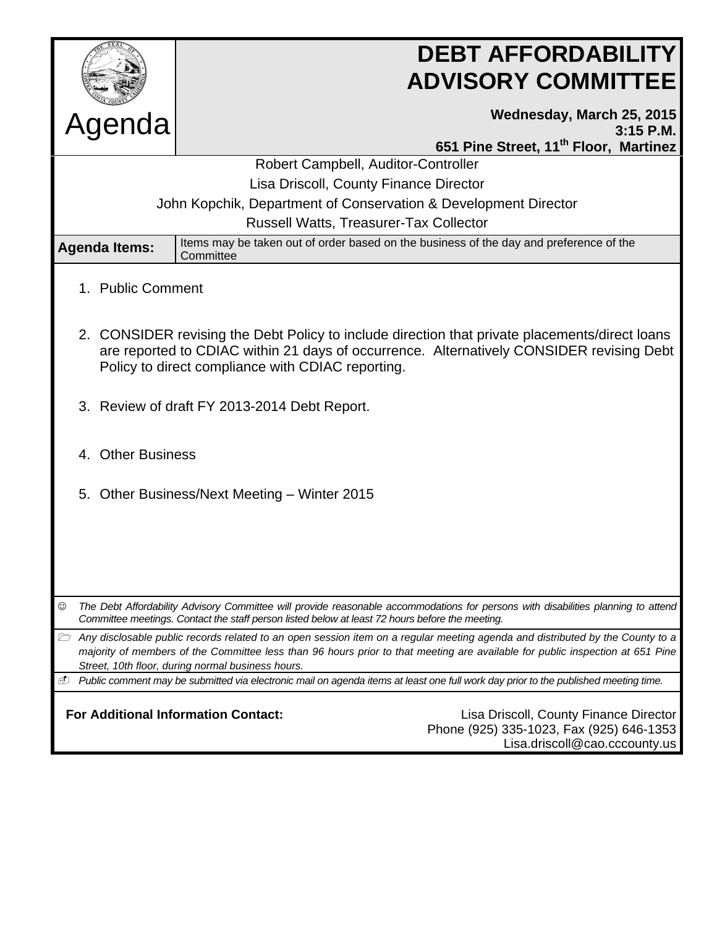|                                            | <b>DEBT AFFORDABILITY</b><br><b>ADVISORY COMMITTEE</b>                                                                                                                                                                                                                                                              |
|--------------------------------------------|---------------------------------------------------------------------------------------------------------------------------------------------------------------------------------------------------------------------------------------------------------------------------------------------------------------------|
| Agenda                                     | Wednesday, March 25, 2015<br>$3:15$ P.M.<br>651 Pine Street, 11 <sup>th</sup> Floor, Martinez                                                                                                                                                                                                                       |
|                                            | Robert Campbell, Auditor-Controller                                                                                                                                                                                                                                                                                 |
|                                            |                                                                                                                                                                                                                                                                                                                     |
|                                            | Lisa Driscoll, County Finance Director                                                                                                                                                                                                                                                                              |
|                                            | John Kopchik, Department of Conservation & Development Director                                                                                                                                                                                                                                                     |
|                                            | <b>Russell Watts, Treasurer-Tax Collector</b>                                                                                                                                                                                                                                                                       |
| <b>Agenda Items:</b>                       | Items may be taken out of order based on the business of the day and preference of the<br>Committee                                                                                                                                                                                                                 |
|                                            |                                                                                                                                                                                                                                                                                                                     |
| 1. Public Comment                          |                                                                                                                                                                                                                                                                                                                     |
|                                            |                                                                                                                                                                                                                                                                                                                     |
|                                            | 2. CONSIDER revising the Debt Policy to include direction that private placements/direct loans<br>are reported to CDIAC within 21 days of occurrence. Alternatively CONSIDER revising Debt<br>Policy to direct compliance with CDIAC reporting.                                                                     |
|                                            | 3. Review of draft FY 2013-2014 Debt Report.                                                                                                                                                                                                                                                                        |
| <b>Other Business</b><br>4.                |                                                                                                                                                                                                                                                                                                                     |
| 5.                                         | Other Business/Next Meeting - Winter 2015                                                                                                                                                                                                                                                                           |
|                                            |                                                                                                                                                                                                                                                                                                                     |
|                                            |                                                                                                                                                                                                                                                                                                                     |
| ☺                                          | The Debt Affordability Advisory Committee will provide reasonable accommodations for persons with disabilities planning to attend<br>Committee meetings. Contact the staff person listed below at least 72 hours before the meeting.                                                                                |
|                                            | Any disclosable public records related to an open session item on a regular meeting agenda and distributed by the County to a<br>majority of members of the Committee less than 96 hours prior to that meeting are available for public inspection at 651 Pine<br>Street, 10th floor, during normal business hours. |
| ⊕                                          | Public comment may be submitted via electronic mail on agenda items at least one full work day prior to the published meeting time.                                                                                                                                                                                 |
| <b>For Additional Information Contact:</b> | Lisa Driscoll, County Finance Director<br>Phone (925) 335-1023, Fax (925) 646-1353<br>Lisa.driscoll@cao.cccounty.us                                                                                                                                                                                                 |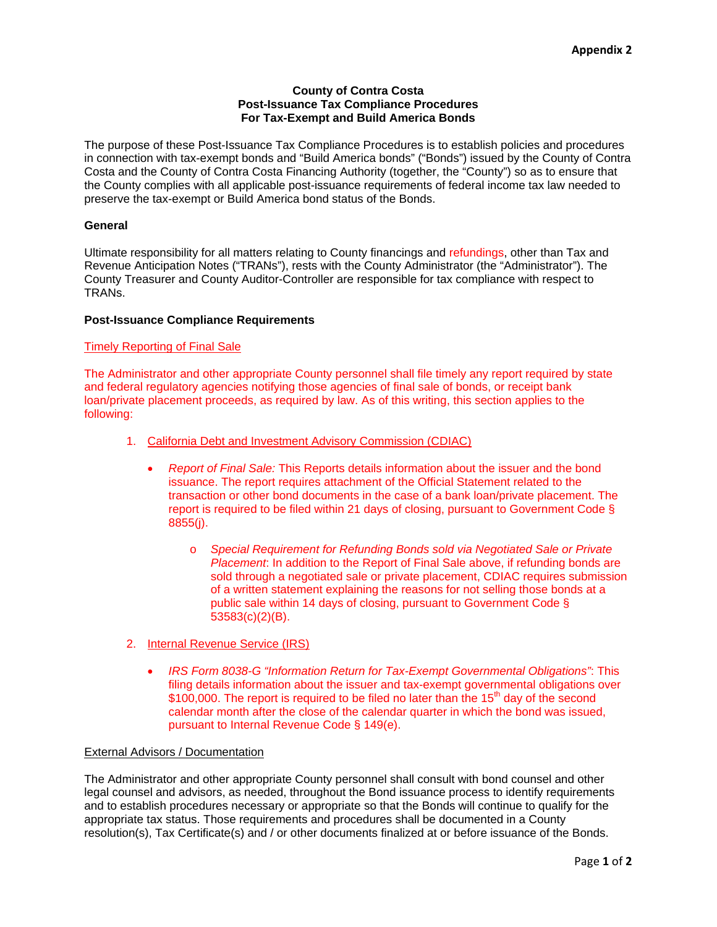#### **County of Contra Costa Post-Issuance Tax Compliance Procedures For Tax-Exempt and Build America Bonds**

<span id="page-1-0"></span>The purpose of these Post-Issuance Tax Compliance Procedures is to establish policies and procedures in connection with tax-exempt bonds and "Build America bonds" ("Bonds") issued by the County of Contra Costa and the County of Contra Costa Financing Authority (together, the "County") so as to ensure that the County complies with all applicable post-issuance requirements of federal income tax law needed to preserve the tax-exempt or Build America bond status of the Bonds.

#### **General**

Ultimate responsibility for all matters relating to County financings and refundings, other than Tax and Revenue Anticipation Notes ("TRANs"), rests with the County Administrator (the "Administrator"). The County Treasurer and County Auditor-Controller are responsible for tax compliance with respect to TRANs.

#### **Post-Issuance Compliance Requirements**

#### Timely Reporting of Final Sale

The Administrator and other appropriate County personnel shall file timely any report required by state and federal regulatory agencies notifying those agencies of final sale of bonds, or receipt bank loan/private placement proceeds, as required by law. As of this writing, this section applies to the following:

- 1. California Debt and Investment Advisory Commission (CDIAC)
	- *Report of Final Sale:* This Reports details information about the issuer and the bond issuance. The report requires attachment of the Official Statement related to the transaction or other bond documents in the case of a bank loan/private placement. The report is required to be filed within 21 days of closing, pursuant to Government Code § 8855(j).
		- o *Special Requirement for Refunding Bonds sold via Negotiated Sale or Private Placement*: In addition to the Report of Final Sale above, if refunding bonds are sold through a negotiated sale or private placement, CDIAC requires submission of a written statement explaining the reasons for not selling those bonds at a public sale within 14 days of closing, pursuant to Government Code § 53583(c)(2)(B).
- 2. Internal Revenue Service (IRS)
	- *IRS Form 8038-G "Information Return for Tax-Exempt Governmental Obligations"*: This filing details information about the issuer and tax-exempt governmental obligations over  $$100,000$ . The report is required to be filed no later than the  $15<sup>th</sup>$  day of the second calendar month after the close of the calendar quarter in which the bond was issued, pursuant to Internal Revenue Code § 149(e).

#### External Advisors / Documentation

The Administrator and other appropriate County personnel shall consult with bond counsel and other legal counsel and advisors, as needed, throughout the Bond issuance process to identify requirements and to establish procedures necessary or appropriate so that the Bonds will continue to qualify for the appropriate tax status. Those requirements and procedures shall be documented in a County resolution(s), Tax Certificate(s) and / or other documents finalized at or before issuance of the Bonds.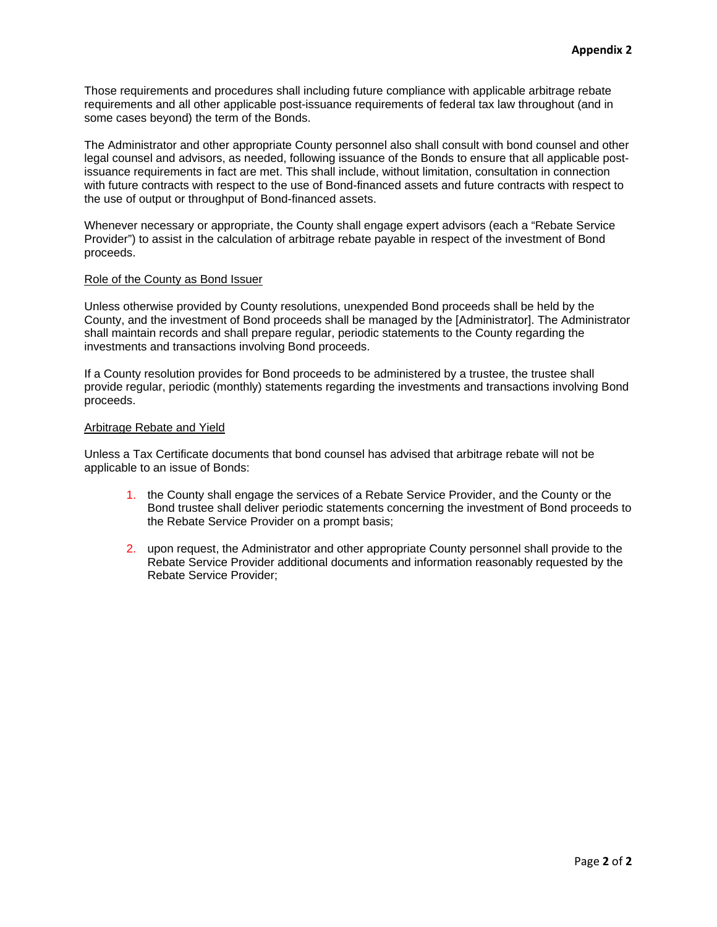Those requirements and procedures shall including future compliance with applicable arbitrage rebate requirements and all other applicable post-issuance requirements of federal tax law throughout (and in some cases beyond) the term of the Bonds.

The Administrator and other appropriate County personnel also shall consult with bond counsel and other legal counsel and advisors, as needed, following issuance of the Bonds to ensure that all applicable postissuance requirements in fact are met. This shall include, without limitation, consultation in connection with future contracts with respect to the use of Bond-financed assets and future contracts with respect to the use of output or throughput of Bond-financed assets.

Whenever necessary or appropriate, the County shall engage expert advisors (each a "Rebate Service Provider") to assist in the calculation of arbitrage rebate payable in respect of the investment of Bond proceeds.

#### Role of the County as Bond Issuer

Unless otherwise provided by County resolutions, unexpended Bond proceeds shall be held by the County, and the investment of Bond proceeds shall be managed by the [Administrator]. The Administrator shall maintain records and shall prepare regular, periodic statements to the County regarding the investments and transactions involving Bond proceeds.

If a County resolution provides for Bond proceeds to be administered by a trustee, the trustee shall provide regular, periodic (monthly) statements regarding the investments and transactions involving Bond proceeds.

#### Arbitrage Rebate and Yield

Unless a Tax Certificate documents that bond counsel has advised that arbitrage rebate will not be applicable to an issue of Bonds:

- 1. the County shall engage the services of a Rebate Service Provider, and the County or the Bond trustee shall deliver periodic statements concerning the investment of Bond proceeds to the Rebate Service Provider on a prompt basis;
- 2. upon request, the Administrator and other appropriate County personnel shall provide to the Rebate Service Provider additional documents and information reasonably requested by the Rebate Service Provider;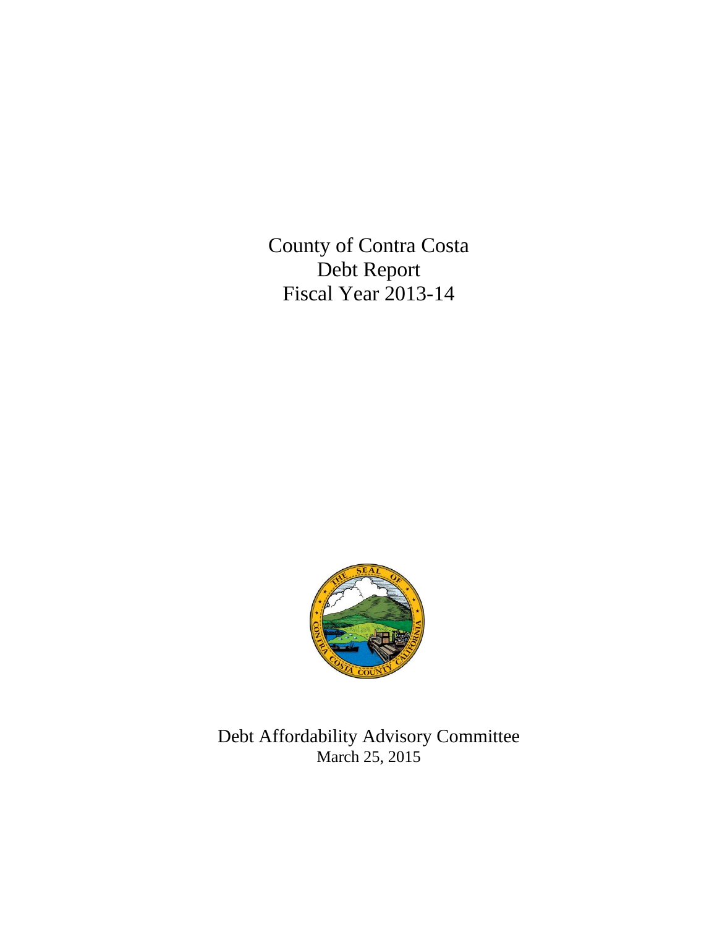<span id="page-3-0"></span>County of Contra Costa Debt Report Fiscal Year 2013-14



Debt Affordability Advisory Committee March 25, 2015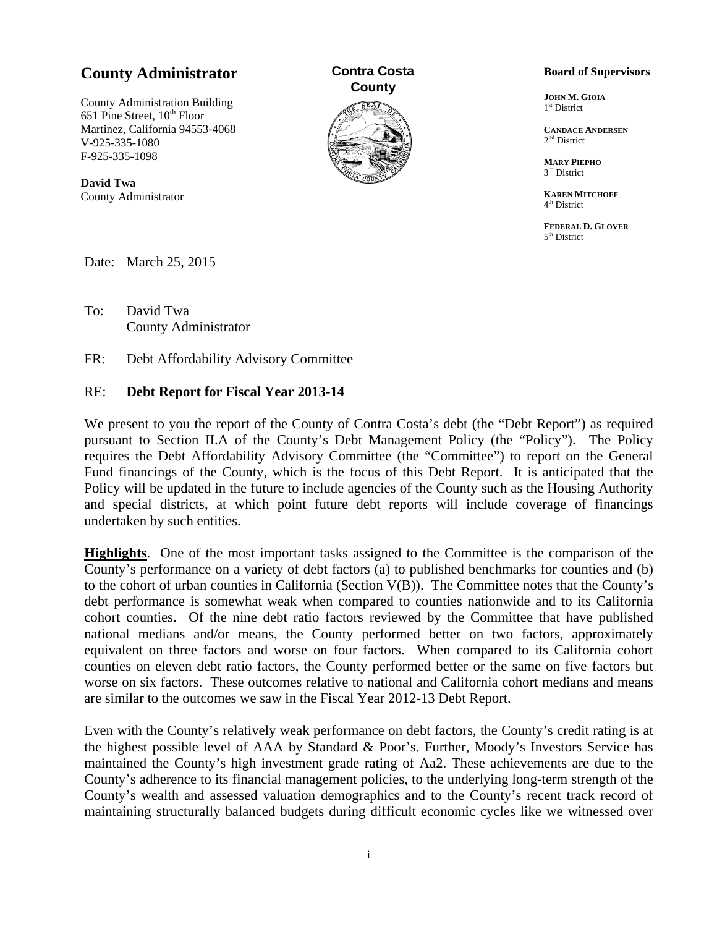# **County Administrator**

County Administration Building 651 Pine Street,  $10^{th}$  Floor Martinez, California 94553-4068 V-925-335-1080 F-925-335-1098

**David Twa** County Administrator **Contra Costa County**



#### **Board of Supervisors**

**JOHN M. GIOIA** 1<sup>st</sup> District

**CANDACE ANDERSEN** 2<sup>nd</sup> District

**MARY PIEPHO** 3rd District

**KAREN MITCHOFF** 4<sup>th</sup> District

**FEDERAL D. GLOVER** 5<sup>th</sup> District

Date: March 25, 2015

To: David Twa County Administrator

FR: Debt Affordability Advisory Committee

#### RE: **Debt Report for Fiscal Year 2013-14**

We present to you the report of the County of Contra Costa's debt (the "Debt Report") as required pursuant to Section II.A of the County's Debt Management Policy (the "Policy"). The Policy requires the Debt Affordability Advisory Committee (the "Committee") to report on the General Fund financings of the County, which is the focus of this Debt Report. It is anticipated that the Policy will be updated in the future to include agencies of the County such as the Housing Authority and special districts, at which point future debt reports will include coverage of financings undertaken by such entities.

**Highlights**. One of the most important tasks assigned to the Committee is the comparison of the County's performance on a variety of debt factors (a) to published benchmarks for counties and (b) to the cohort of urban counties in California (Section V(B)). The Committee notes that the County's debt performance is somewhat weak when compared to counties nationwide and to its California cohort counties. Of the nine debt ratio factors reviewed by the Committee that have published national medians and/or means, the County performed better on two factors, approximately equivalent on three factors and worse on four factors. When compared to its California cohort counties on eleven debt ratio factors, the County performed better or the same on five factors but worse on six factors. These outcomes relative to national and California cohort medians and means are similar to the outcomes we saw in the Fiscal Year 2012-13 Debt Report.

Even with the County's relatively weak performance on debt factors, the County's credit rating is at the highest possible level of AAA by Standard & Poor's. Further, Moody's Investors Service has maintained the County's high investment grade rating of Aa2. These achievements are due to the County's adherence to its financial management policies, to the underlying long-term strength of the County's wealth and assessed valuation demographics and to the County's recent track record of maintaining structurally balanced budgets during difficult economic cycles like we witnessed over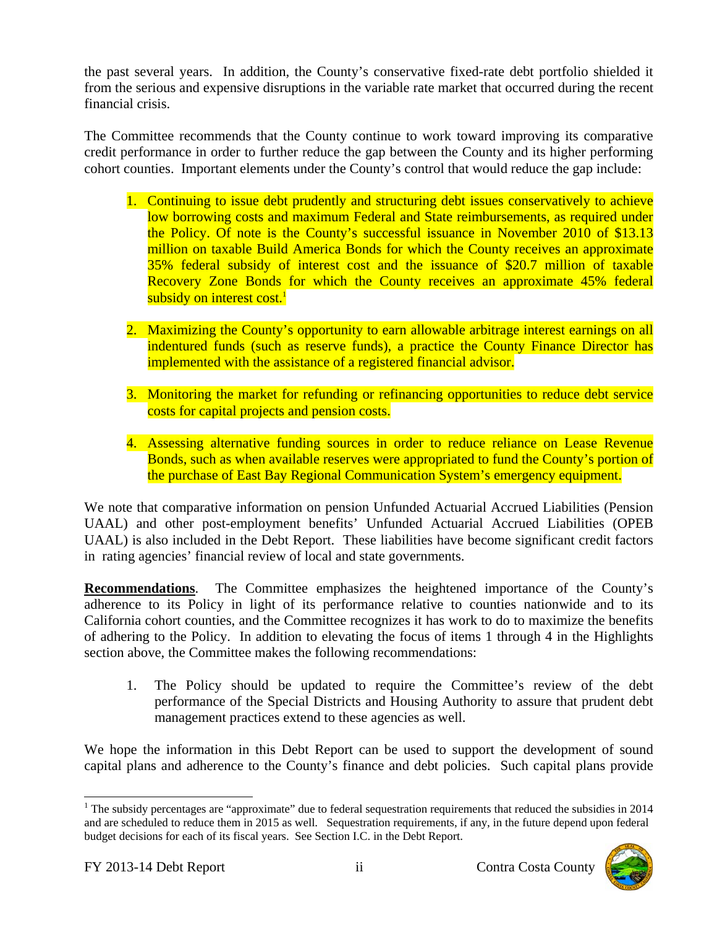the past several years. In addition, the County's conservative fixed-rate debt portfolio shielded it from the serious and expensive disruptions in the variable rate market that occurred during the recent financial crisis.

The Committee recommends that the County continue to work toward improving its comparative credit performance in order to further reduce the gap between the County and its higher performing cohort counties. Important elements under the County's control that would reduce the gap include:

- 1. Continuing to issue debt prudently and structuring debt issues conservatively to achieve low borrowing costs and maximum Federal and State reimbursements, as required under the Policy. Of note is the County's successful issuance in November 2010 of \$13.13 million on taxable Build America Bonds for which the County receives an approximate 35% federal subsidy of interest cost and the issuance of \$20.7 million of taxable Recovery Zone Bonds for which the County receives an approximate 45% federal subsidy on interest cost.<sup>1</sup>
- 2. Maximizing the County's opportunity to earn allowable arbitrage interest earnings on all indentured funds (such as reserve funds), a practice the County Finance Director has implemented with the assistance of a registered financial advisor.
- 3. Monitoring the market for refunding or refinancing opportunities to reduce debt service costs for capital projects and pension costs.
- 4. Assessing alternative funding sources in order to reduce reliance on Lease Revenue Bonds, such as when available reserves were appropriated to fund the County's portion of the purchase of East Bay Regional Communication System's emergency equipment.

We note that comparative information on pension Unfunded Actuarial Accrued Liabilities (Pension UAAL) and other post-employment benefits' Unfunded Actuarial Accrued Liabilities (OPEB UAAL) is also included in the Debt Report. These liabilities have become significant credit factors in rating agencies' financial review of local and state governments.

**Recommendations**. The Committee emphasizes the heightened importance of the County's adherence to its Policy in light of its performance relative to counties nationwide and to its California cohort counties, and the Committee recognizes it has work to do to maximize the benefits of adhering to the Policy. In addition to elevating the focus of items 1 through 4 in the Highlights section above, the Committee makes the following recommendations:

1. The Policy should be updated to require the Committee's review of the debt performance of the Special Districts and Housing Authority to assure that prudent debt management practices extend to these agencies as well.

We hope the information in this Debt Report can be used to support the development of sound capital plans and adherence to the County's finance and debt policies. Such capital plans provide

l <sup>1</sup> The subsidy percentages are "approximate" due to federal sequestration requirements that reduced the subsidies in  $2014$ and are scheduled to reduce them in 2015 as well. Sequestration requirements, if any, in the future depend upon federal budget decisions for each of its fiscal years. See Section I.C. in the Debt Report.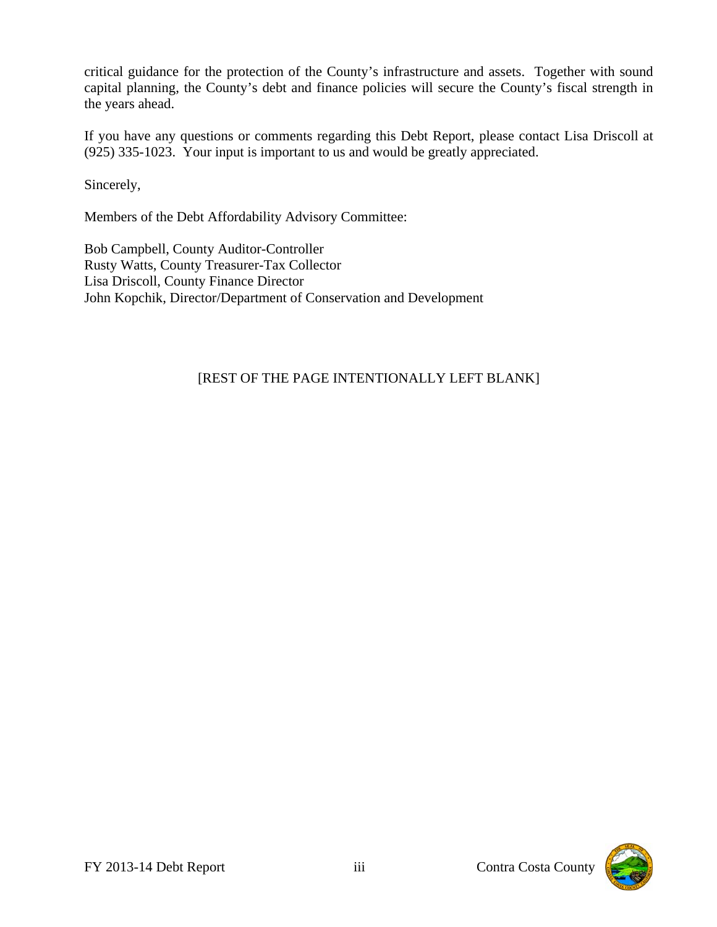critical guidance for the protection of the County's infrastructure and assets. Together with sound capital planning, the County's debt and finance policies will secure the County's fiscal strength in the years ahead.

If you have any questions or comments regarding this Debt Report, please contact Lisa Driscoll at (925) 335-1023. Your input is important to us and would be greatly appreciated.

Sincerely,

Members of the Debt Affordability Advisory Committee:

Bob Campbell, County Auditor-Controller Rusty Watts, County Treasurer-Tax Collector Lisa Driscoll, County Finance Director John Kopchik, Director/Department of Conservation and Development

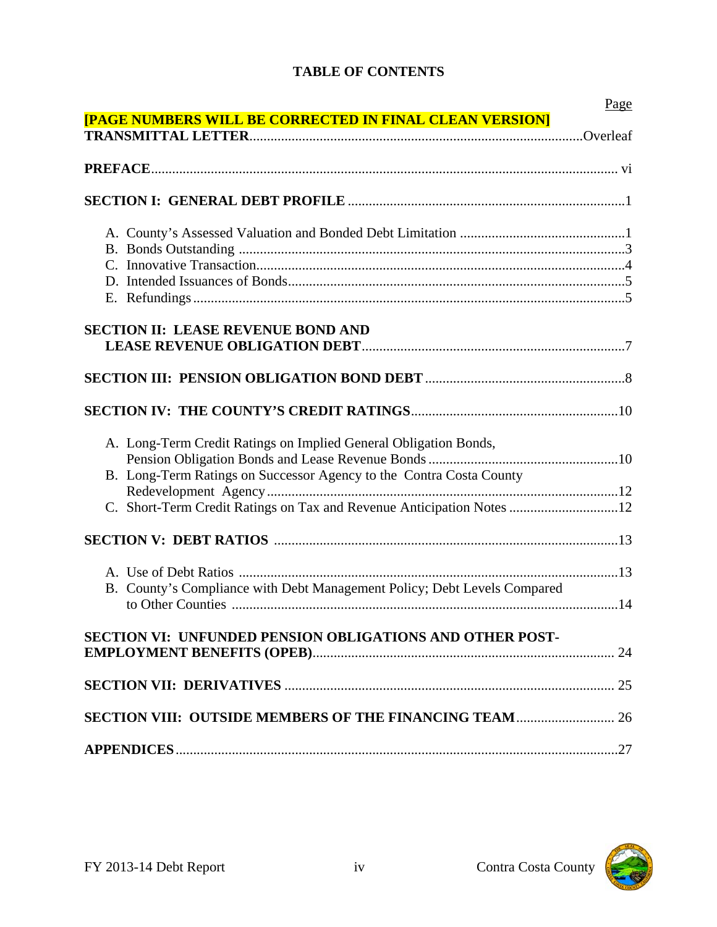# **TABLE OF CONTENTS**

|                                                                          | Page |
|--------------------------------------------------------------------------|------|
| [PAGE NUMBERS WILL BE CORRECTED IN FINAL CLEAN VERSION]                  |      |
|                                                                          |      |
|                                                                          |      |
|                                                                          |      |
|                                                                          |      |
|                                                                          |      |
|                                                                          |      |
|                                                                          |      |
|                                                                          |      |
|                                                                          |      |
|                                                                          |      |
|                                                                          |      |
| <b>SECTION II: LEASE REVENUE BOND AND</b>                                |      |
|                                                                          |      |
|                                                                          |      |
|                                                                          |      |
|                                                                          |      |
| A. Long-Term Credit Ratings on Implied General Obligation Bonds,         |      |
|                                                                          |      |
| B. Long-Term Ratings on Successor Agency to the Contra Costa County      |      |
|                                                                          |      |
| C. Short-Term Credit Ratings on Tax and Revenue Anticipation Notes 12    |      |
|                                                                          |      |
|                                                                          |      |
|                                                                          |      |
|                                                                          |      |
|                                                                          |      |
| B. County's Compliance with Debt Management Policy; Debt Levels Compared |      |
|                                                                          |      |
|                                                                          |      |
| SECTION VI: UNFUNDED PENSION OBLIGATIONS AND OTHER POST-                 |      |
|                                                                          |      |
|                                                                          |      |
|                                                                          |      |
|                                                                          |      |
|                                                                          |      |
|                                                                          |      |
|                                                                          |      |

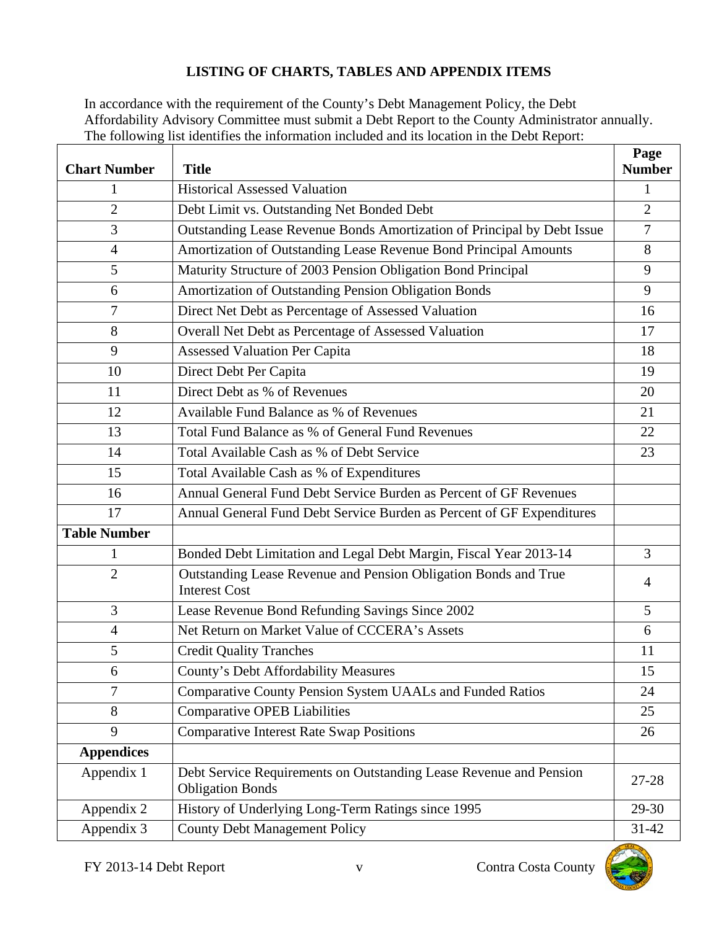# **LISTING OF CHARTS, TABLES AND APPENDIX ITEMS**

In accordance with the requirement of the County's Debt Management Policy, the Debt Affordability Advisory Committee must submit a Debt Report to the County Administrator annually. The following list identifies the information included and its location in the Debt Report:

| <b>Chart Number</b> | <b>Title</b>                                                                                  | Page<br><b>Number</b> |
|---------------------|-----------------------------------------------------------------------------------------------|-----------------------|
| 1                   | <b>Historical Assessed Valuation</b>                                                          | $\mathbf{1}$          |
| $\overline{2}$      | Debt Limit vs. Outstanding Net Bonded Debt                                                    | $\overline{2}$        |
| 3                   | Outstanding Lease Revenue Bonds Amortization of Principal by Debt Issue                       | 7                     |
| 4                   | Amortization of Outstanding Lease Revenue Bond Principal Amounts                              | 8                     |
| 5                   | Maturity Structure of 2003 Pension Obligation Bond Principal                                  | 9                     |
| 6                   | Amortization of Outstanding Pension Obligation Bonds                                          | 9                     |
| 7                   | Direct Net Debt as Percentage of Assessed Valuation                                           | 16                    |
| 8                   | Overall Net Debt as Percentage of Assessed Valuation                                          | 17                    |
| 9                   | <b>Assessed Valuation Per Capita</b>                                                          | 18                    |
| 10                  | Direct Debt Per Capita                                                                        | 19                    |
| 11                  | Direct Debt as % of Revenues                                                                  | 20                    |
| 12                  | Available Fund Balance as % of Revenues                                                       | 21                    |
| 13                  | Total Fund Balance as % of General Fund Revenues                                              | 22                    |
| 14                  | Total Available Cash as % of Debt Service                                                     | 23                    |
| 15                  | Total Available Cash as % of Expenditures                                                     |                       |
| 16                  | Annual General Fund Debt Service Burden as Percent of GF Revenues                             |                       |
| 17                  | Annual General Fund Debt Service Burden as Percent of GF Expenditures                         |                       |
| <b>Table Number</b> |                                                                                               |                       |
| 1                   | Bonded Debt Limitation and Legal Debt Margin, Fiscal Year 2013-14                             | 3                     |
| $\overline{2}$      | Outstanding Lease Revenue and Pension Obligation Bonds and True<br><b>Interest Cost</b>       | 4                     |
| $\overline{3}$      | Lease Revenue Bond Refunding Savings Since 2002                                               | 5                     |
| $\overline{4}$      | Net Return on Market Value of CCCERA's Assets                                                 | 6                     |
| 5                   | <b>Credit Quality Tranches</b>                                                                | 11                    |
| 6                   | County's Debt Affordability Measures                                                          | 15                    |
| 7                   | Comparative County Pension System UAALs and Funded Ratios                                     | 24                    |
| 8                   | <b>Comparative OPEB Liabilities</b>                                                           | 25                    |
| 9                   | <b>Comparative Interest Rate Swap Positions</b>                                               | 26                    |
| <b>Appendices</b>   |                                                                                               |                       |
| Appendix 1          | Debt Service Requirements on Outstanding Lease Revenue and Pension<br><b>Obligation Bonds</b> | 27-28                 |
| Appendix 2          | History of Underlying Long-Term Ratings since 1995                                            | 29-30                 |
| Appendix 3          | <b>County Debt Management Policy</b>                                                          | $31 - 42$             |

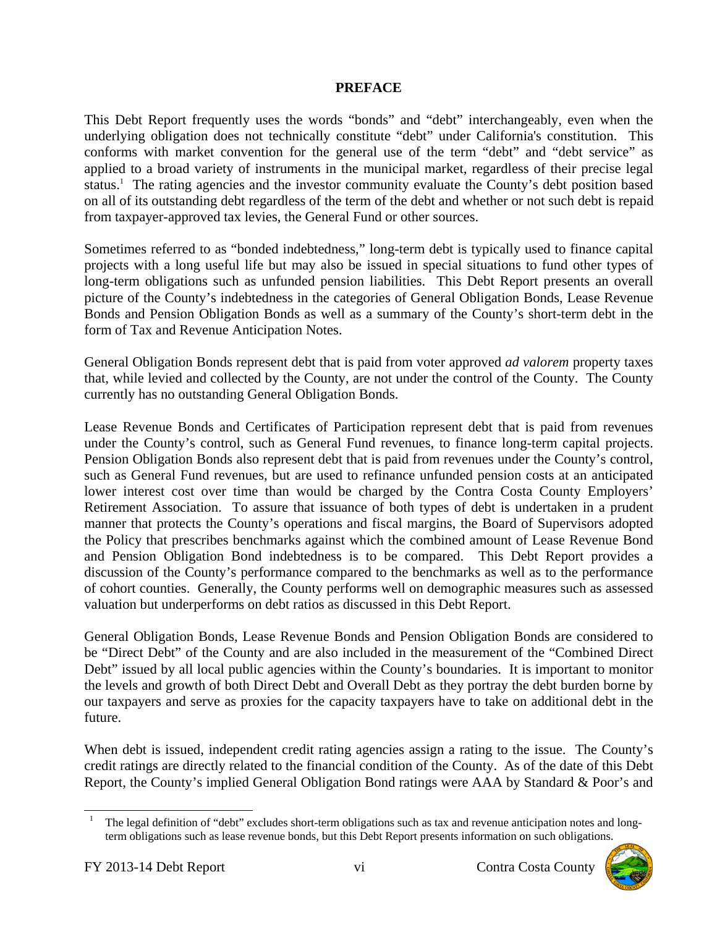#### **PREFACE**

This Debt Report frequently uses the words "bonds" and "debt" interchangeably, even when the underlying obligation does not technically constitute "debt" under California's constitution. This conforms with market convention for the general use of the term "debt" and "debt service" as applied to a broad variety of instruments in the municipal market, regardless of their precise legal status.<sup>1</sup> The rating agencies and the investor community evaluate the County's debt position based on all of its outstanding debt regardless of the term of the debt and whether or not such debt is repaid from taxpayer-approved tax levies, the General Fund or other sources.

Sometimes referred to as "bonded indebtedness," long-term debt is typically used to finance capital projects with a long useful life but may also be issued in special situations to fund other types of long-term obligations such as unfunded pension liabilities. This Debt Report presents an overall picture of the County's indebtedness in the categories of General Obligation Bonds, Lease Revenue Bonds and Pension Obligation Bonds as well as a summary of the County's short-term debt in the form of Tax and Revenue Anticipation Notes.

General Obligation Bonds represent debt that is paid from voter approved *ad valorem* property taxes that, while levied and collected by the County, are not under the control of the County. The County currently has no outstanding General Obligation Bonds.

Lease Revenue Bonds and Certificates of Participation represent debt that is paid from revenues under the County's control, such as General Fund revenues, to finance long-term capital projects. Pension Obligation Bonds also represent debt that is paid from revenues under the County's control, such as General Fund revenues, but are used to refinance unfunded pension costs at an anticipated lower interest cost over time than would be charged by the Contra Costa County Employers' Retirement Association. To assure that issuance of both types of debt is undertaken in a prudent manner that protects the County's operations and fiscal margins, the Board of Supervisors adopted the Policy that prescribes benchmarks against which the combined amount of Lease Revenue Bond and Pension Obligation Bond indebtedness is to be compared. This Debt Report provides a discussion of the County's performance compared to the benchmarks as well as to the performance of cohort counties. Generally, the County performs well on demographic measures such as assessed valuation but underperforms on debt ratios as discussed in this Debt Report.

General Obligation Bonds, Lease Revenue Bonds and Pension Obligation Bonds are considered to be "Direct Debt" of the County and are also included in the measurement of the "Combined Direct Debt" issued by all local public agencies within the County's boundaries. It is important to monitor the levels and growth of both Direct Debt and Overall Debt as they portray the debt burden borne by our taxpayers and serve as proxies for the capacity taxpayers have to take on additional debt in the future.

When debt is issued, independent credit rating agencies assign a rating to the issue. The County's credit ratings are directly related to the financial condition of the County. As of the date of this Debt Report, the County's implied General Obligation Bond ratings were AAA by Standard & Poor's and

 $\overline{\phantom{a}}$ 



<sup>1</sup> The legal definition of "debt" excludes short-term obligations such as tax and revenue anticipation notes and longterm obligations such as lease revenue bonds, but this Debt Report presents information on such obligations.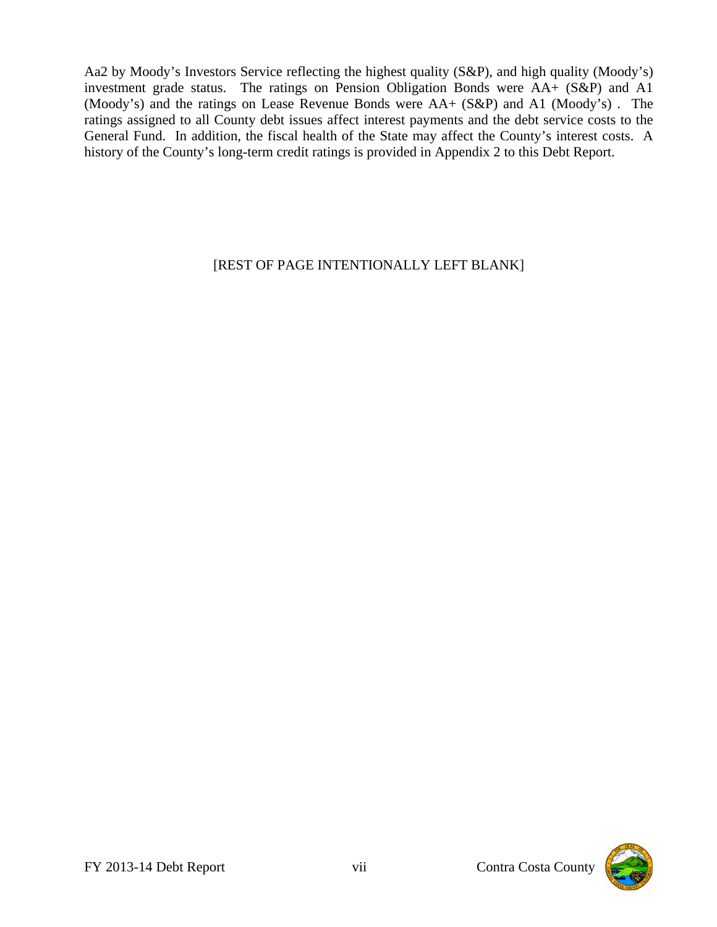Aa2 by Moody's Investors Service reflecting the highest quality (S&P), and high quality (Moody's) investment grade status. The ratings on Pension Obligation Bonds were AA+ (S&P) and A1 (Moody's) and the ratings on Lease Revenue Bonds were AA+ (S&P) and A1 (Moody's) . The ratings assigned to all County debt issues affect interest payments and the debt service costs to the General Fund. In addition, the fiscal health of the State may affect the County's interest costs. A history of the County's long-term credit ratings is provided in Appendix 2 to this Debt Report.

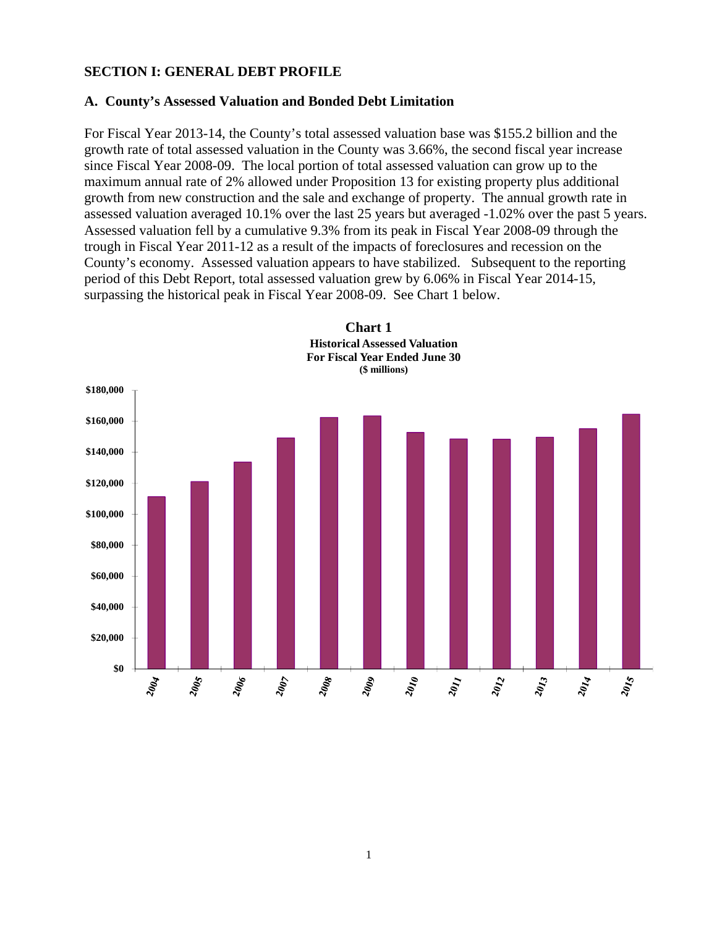#### **SECTION I: GENERAL DEBT PROFILE**

#### **A. County's Assessed Valuation and Bonded Debt Limitation**

For Fiscal Year 2013-14, the County's total assessed valuation base was \$155.2 billion and the growth rate of total assessed valuation in the County was 3.66%, the second fiscal year increase since Fiscal Year 2008-09. The local portion of total assessed valuation can grow up to the maximum annual rate of 2% allowed under Proposition 13 for existing property plus additional growth from new construction and the sale and exchange of property. The annual growth rate in assessed valuation averaged 10.1% over the last 25 years but averaged -1.02% over the past 5 years. Assessed valuation fell by a cumulative 9.3% from its peak in Fiscal Year 2008-09 through the trough in Fiscal Year 2011-12 as a result of the impacts of foreclosures and recession on the County's economy. Assessed valuation appears to have stabilized. Subsequent to the reporting period of this Debt Report, total assessed valuation grew by 6.06% in Fiscal Year 2014-15, surpassing the historical peak in Fiscal Year 2008-09. See Chart 1 below.



**Chart 1**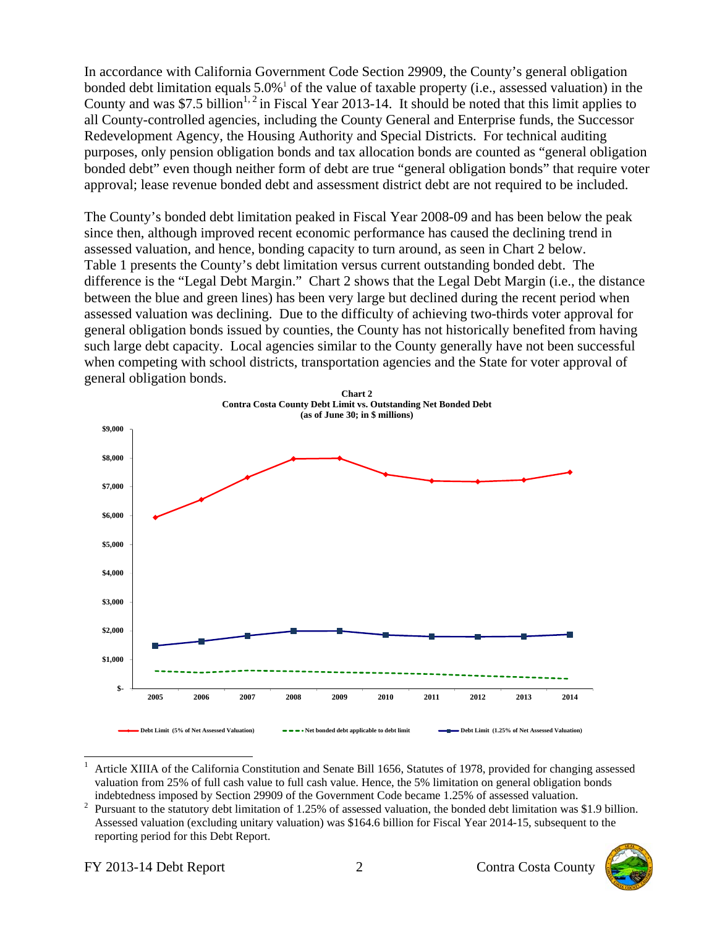In accordance with California Government Code Section 29909, the County's general obligation bonded debt limitation equals  $5.0\%$ <sup>1</sup> of the value of taxable property (i.e., assessed valuation) in the County and was \$7.5 billion<sup>1, 2</sup> in Fiscal Year 2013-14. It should be noted that this limit applies to all County-controlled agencies, including the County General and Enterprise funds, the Successor Redevelopment Agency, the Housing Authority and Special Districts. For technical auditing purposes, only pension obligation bonds and tax allocation bonds are counted as "general obligation bonded debt" even though neither form of debt are true "general obligation bonds" that require voter approval; lease revenue bonded debt and assessment district debt are not required to be included.

The County's bonded debt limitation peaked in Fiscal Year 2008-09 and has been below the peak since then, although improved recent economic performance has caused the declining trend in assessed valuation, and hence, bonding capacity to turn around, as seen in Chart 2 below. Table 1 presents the County's debt limitation versus current outstanding bonded debt. The difference is the "Legal Debt Margin." Chart 2 shows that the Legal Debt Margin (i.e., the distance between the blue and green lines) has been very large but declined during the recent period when assessed valuation was declining. Due to the difficulty of achieving two-thirds voter approval for general obligation bonds issued by counties, the County has not historically benefited from having such large debt capacity. Local agencies similar to the County generally have not been successful when competing with school districts, transportation agencies and the State for voter approval of general obligation bonds.



l 1 Article XIIIA of the California Constitution and Senate Bill 1656, Statutes of 1978, provided for changing assessed valuation from 25% of full cash value to full cash value. Hence, the 5% limitation on general obligation bonds



indebtedness imposed by Section 29909 of the Government Code became 1.25% of assessed valuation.<br><sup>2</sup> Pursuant to the statutory debt limitation of 1.25% of assessed valuation, the bonded debt limitation was Pursuant to the statutory debt limitation of 1.25% of assessed valuation, the bonded debt limitation was \$1.9 billion. Assessed valuation (excluding unitary valuation) was \$164.6 billion for Fiscal Year 2014-15, subsequent to the reporting period for this Debt Report.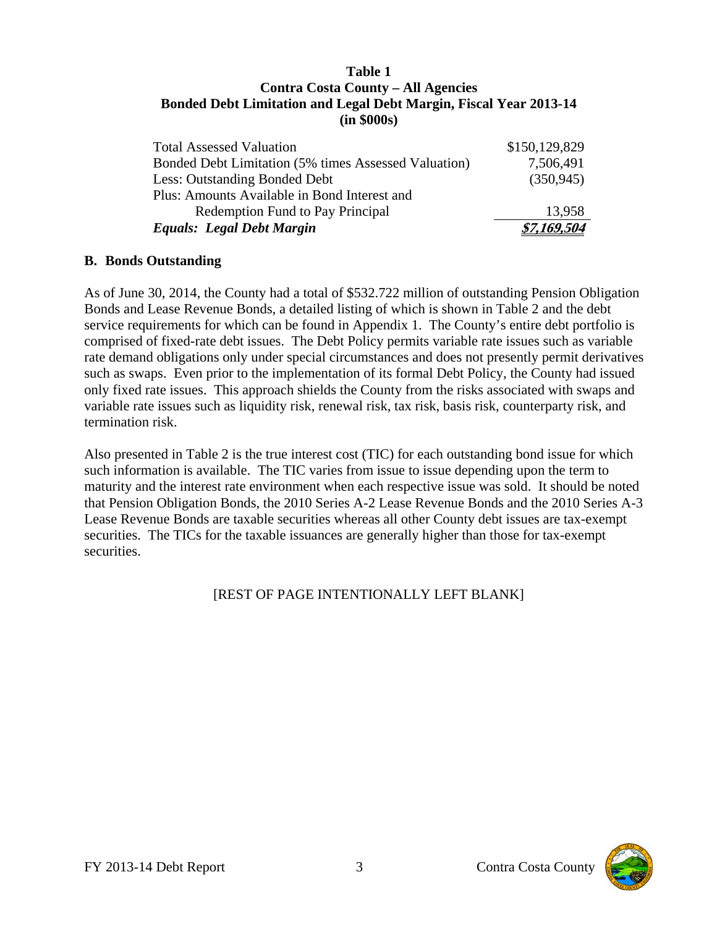### **Table 1 Contra Costa County – All Agencies Bonded Debt Limitation and Legal Debt Margin, Fiscal Year 2013-14 (in \$000s)**

| <b>Total Assessed Valuation</b>                      | \$150,129,829 |
|------------------------------------------------------|---------------|
| Bonded Debt Limitation (5% times Assessed Valuation) | 7,506,491     |
| Less: Outstanding Bonded Debt                        | (350, 945)    |
| Plus: Amounts Available in Bond Interest and         |               |
| Redemption Fund to Pay Principal                     | 13,958        |
| <b>Equals: Legal Debt Margin</b>                     | \$7,169,504   |

### **B. Bonds Outstanding**

As of June 30, 2014, the County had a total of \$532.722 million of outstanding Pension Obligation Bonds and Lease Revenue Bonds, a detailed listing of which is shown in Table 2 and the debt service requirements for which can be found in Appendix 1. The County's entire debt portfolio is comprised of fixed-rate debt issues. The Debt Policy permits variable rate issues such as variable rate demand obligations only under special circumstances and does not presently permit derivatives such as swaps. Even prior to the implementation of its formal Debt Policy, the County had issued only fixed rate issues. This approach shields the County from the risks associated with swaps and variable rate issues such as liquidity risk, renewal risk, tax risk, basis risk, counterparty risk, and termination risk.

Also presented in Table 2 is the true interest cost (TIC) for each outstanding bond issue for which such information is available. The TIC varies from issue to issue depending upon the term to maturity and the interest rate environment when each respective issue was sold. It should be noted that Pension Obligation Bonds, the 2010 Series A-2 Lease Revenue Bonds and the 2010 Series A-3 Lease Revenue Bonds are taxable securities whereas all other County debt issues are tax-exempt securities. The TICs for the taxable issuances are generally higher than those for tax-exempt securities.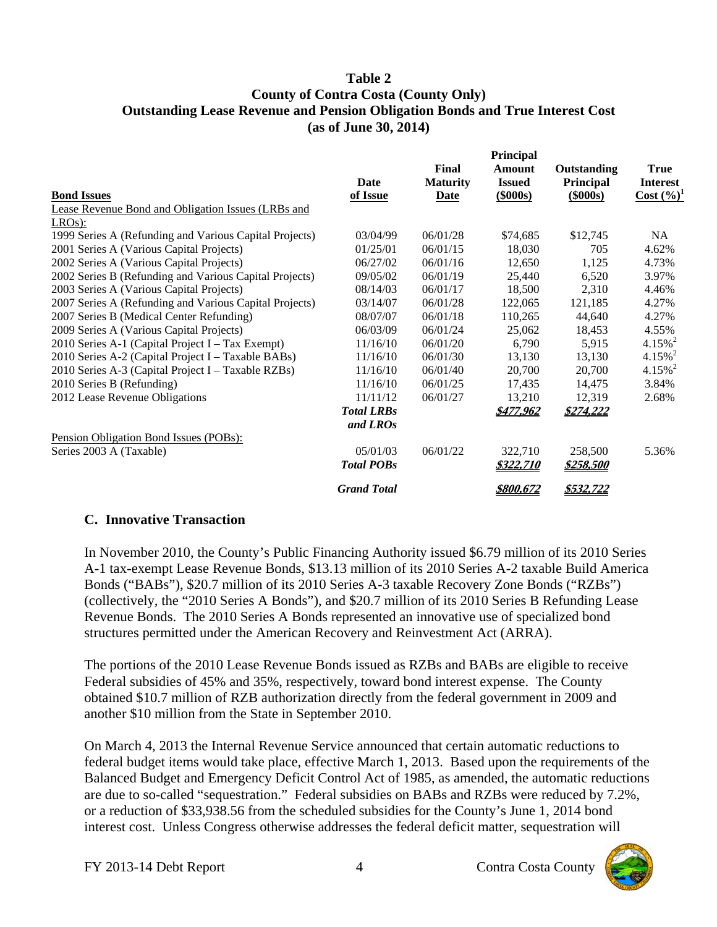#### **Table 2 County of Contra Costa (County Only) Outstanding Lease Revenue and Pension Obligation Bonds and True Interest Cost (as of June 30, 2014)**

|                                                        | Date               | Final<br><b>Maturity</b> | <b>Principal</b><br><b>Amount</b><br><b>Issued</b> | Outstanding<br>Principal | <b>True</b><br><b>Interest</b> |
|--------------------------------------------------------|--------------------|--------------------------|----------------------------------------------------|--------------------------|--------------------------------|
| <b>Bond Issues</b>                                     | of Issue           | <b>Date</b>              | $($ \$000s)                                        | $($ \$000s)              | Cost(%) <sup>1</sup>           |
| Lease Revenue Bond and Obligation Issues (LRBs and     |                    |                          |                                                    |                          |                                |
| $LROs$ ):                                              |                    |                          |                                                    |                          |                                |
| 1999 Series A (Refunding and Various Capital Projects) | 03/04/99           | 06/01/28                 | \$74,685                                           | \$12,745                 | NA                             |
| 2001 Series A (Various Capital Projects)               | 01/25/01           | 06/01/15                 | 18,030                                             | 705                      | 4.62%                          |
| 2002 Series A (Various Capital Projects)               | 06/27/02           | 06/01/16                 | 12,650                                             | 1,125                    | 4.73%                          |
| 2002 Series B (Refunding and Various Capital Projects) | 09/05/02           | 06/01/19                 | 25,440                                             | 6,520                    | 3.97%                          |
| 2003 Series A (Various Capital Projects)               | 08/14/03           | 06/01/17                 | 18,500                                             | 2,310                    | 4.46%                          |
| 2007 Series A (Refunding and Various Capital Projects) | 03/14/07           | 06/01/28                 | 122,065                                            | 121,185                  | 4.27%                          |
| 2007 Series B (Medical Center Refunding)               | 08/07/07           | 06/01/18                 | 110,265                                            | 44,640                   | 4.27%                          |
| 2009 Series A (Various Capital Projects)               | 06/03/09           | 06/01/24                 | 25,062                                             | 18,453                   | 4.55%                          |
| 2010 Series A-1 (Capital Project I – Tax Exempt)       | 11/16/10           | 06/01/20                 | 6,790                                              | 5,915                    | $4.15\%$ <sup>2</sup>          |
| 2010 Series A-2 (Capital Project I – Taxable BABs)     | 11/16/10           | 06/01/30                 | 13,130                                             | 13,130                   | $4.15\%$ <sup>2</sup>          |
| 2010 Series A-3 (Capital Project I – Taxable RZBs)     | 11/16/10           | 06/01/40                 | 20,700                                             | 20,700                   | $4.15\%$ <sup>2</sup>          |
| 2010 Series B (Refunding)                              | 11/16/10           | 06/01/25                 | 17,435                                             | 14,475                   | 3.84%                          |
| 2012 Lease Revenue Obligations                         | 11/11/12           | 06/01/27                 | 13,210                                             | 12,319                   | 2.68%                          |
|                                                        | <b>Total LRBs</b>  |                          | \$477,962                                          | \$274,222                |                                |
|                                                        | and LROs           |                          |                                                    |                          |                                |
| Pension Obligation Bond Issues (POBs):                 |                    |                          |                                                    |                          |                                |
| Series 2003 A (Taxable)                                | 05/01/03           | 06/01/22                 | 322,710                                            | 258,500                  | 5.36%                          |
|                                                        | <b>Total POBs</b>  |                          | <u>\$322,710</u>                                   | <u>\$258,500</u>         |                                |
|                                                        | <b>Grand Total</b> |                          | \$800,672                                          | \$532,722                |                                |

### **C. Innovative Transaction**

In November 2010, the County's Public Financing Authority issued \$6.79 million of its 2010 Series A-1 tax-exempt Lease Revenue Bonds, \$13.13 million of its 2010 Series A-2 taxable Build America Bonds ("BABs"), \$20.7 million of its 2010 Series A-3 taxable Recovery Zone Bonds ("RZBs") (collectively, the "2010 Series A Bonds"), and \$20.7 million of its 2010 Series B Refunding Lease Revenue Bonds. The 2010 Series A Bonds represented an innovative use of specialized bond structures permitted under the American Recovery and Reinvestment Act (ARRA).

The portions of the 2010 Lease Revenue Bonds issued as RZBs and BABs are eligible to receive Federal subsidies of 45% and 35%, respectively, toward bond interest expense. The County obtained \$10.7 million of RZB authorization directly from the federal government in 2009 and another \$10 million from the State in September 2010.

On March 4, 2013 the Internal Revenue Service announced that certain automatic reductions to federal budget items would take place, effective March 1, 2013. Based upon the requirements of the Balanced Budget and Emergency Deficit Control Act of 1985, as amended, the automatic reductions are due to so-called "sequestration." Federal subsidies on BABs and RZBs were reduced by 7.2%, or a reduction of \$33,938.56 from the scheduled subsidies for the County's June 1, 2014 bond interest cost. Unless Congress otherwise addresses the federal deficit matter, sequestration will

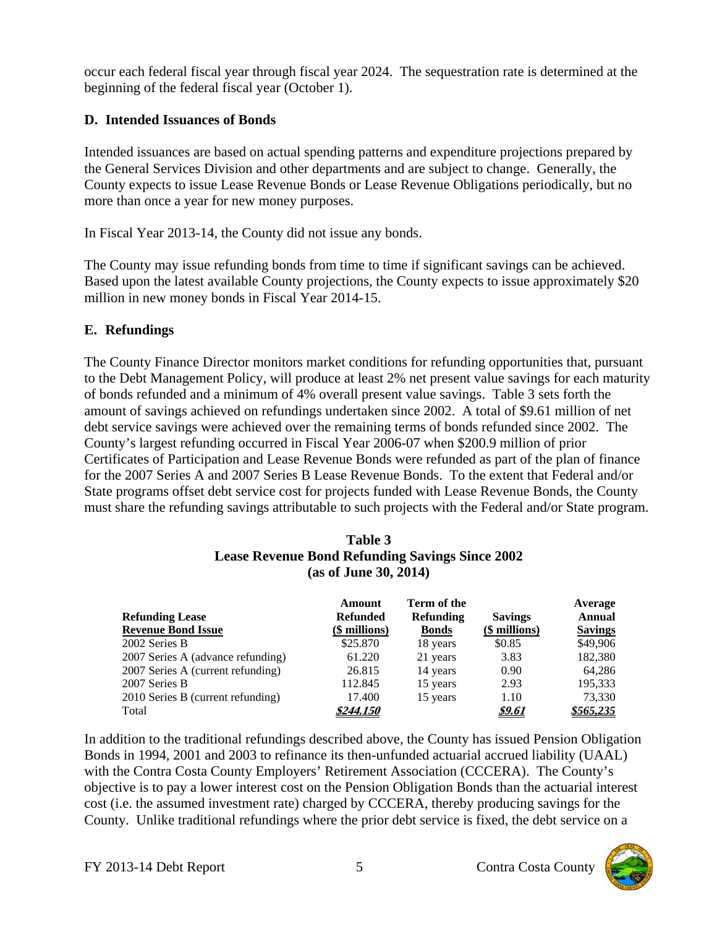occur each federal fiscal year through fiscal year 2024. The sequestration rate is determined at the beginning of the federal fiscal year (October 1).

## **D. Intended Issuances of Bonds**

Intended issuances are based on actual spending patterns and expenditure projections prepared by the General Services Division and other departments and are subject to change. Generally, the County expects to issue Lease Revenue Bonds or Lease Revenue Obligations periodically, but no more than once a year for new money purposes.

In Fiscal Year 2013-14, the County did not issue any bonds.

The County may issue refunding bonds from time to time if significant savings can be achieved. Based upon the latest available County projections, the County expects to issue approximately \$20 million in new money bonds in Fiscal Year 2014-15.

## **E. Refundings**

The County Finance Director monitors market conditions for refunding opportunities that, pursuant to the Debt Management Policy, will produce at least 2% net present value savings for each maturity of bonds refunded and a minimum of 4% overall present value savings. Table 3 sets forth the amount of savings achieved on refundings undertaken since 2002. A total of \$9.61 million of net debt service savings were achieved over the remaining terms of bonds refunded since 2002. The County's largest refunding occurred in Fiscal Year 2006-07 when \$200.9 million of prior Certificates of Participation and Lease Revenue Bonds were refunded as part of the plan of finance for the 2007 Series A and 2007 Series B Lease Revenue Bonds. To the extent that Federal and/or State programs offset debt service cost for projects funded with Lease Revenue Bonds, the County must share the refunding savings attributable to such projects with the Federal and/or State program.

### **Table 3 Lease Revenue Bond Refunding Savings Since 2002 (as of June 30, 2014)**

| <b>Refunding Lease</b><br><b>Revenue Bond Issue</b> | Amount<br><b>Refunded</b><br>(\$ millions) | Term of the<br><b>Refunding</b><br><b>Bonds</b> | <b>Savings</b><br>(\$ millions) | Average<br><b>Annual</b><br><b>Savings</b> |
|-----------------------------------------------------|--------------------------------------------|-------------------------------------------------|---------------------------------|--------------------------------------------|
| 2002 Series B                                       | \$25.870                                   | 18 years                                        | \$0.85                          | \$49,906                                   |
| 2007 Series A (advance refunding)                   | 61.220                                     | 21 years                                        | 3.83                            | 182,380                                    |
| 2007 Series A (current refunding)                   | 26.815                                     | 14 years                                        | 0.90                            | 64.286                                     |
| 2007 Series B                                       | 112.845                                    | 15 years                                        | 2.93                            | 195,333                                    |
| 2010 Series B (current refunding)                   | 17.400                                     | 15 years                                        | 1.10                            | 73,330                                     |
| Total                                               | <u>\$244.150</u>                           |                                                 | <u>\$9.61</u>                   | \$565,235                                  |

In addition to the traditional refundings described above, the County has issued Pension Obligation Bonds in 1994, 2001 and 2003 to refinance its then-unfunded actuarial accrued liability (UAAL) with the Contra Costa County Employers' Retirement Association (CCCERA). The County's objective is to pay a lower interest cost on the Pension Obligation Bonds than the actuarial interest cost (i.e. the assumed investment rate) charged by CCCERA, thereby producing savings for the County. Unlike traditional refundings where the prior debt service is fixed, the debt service on a

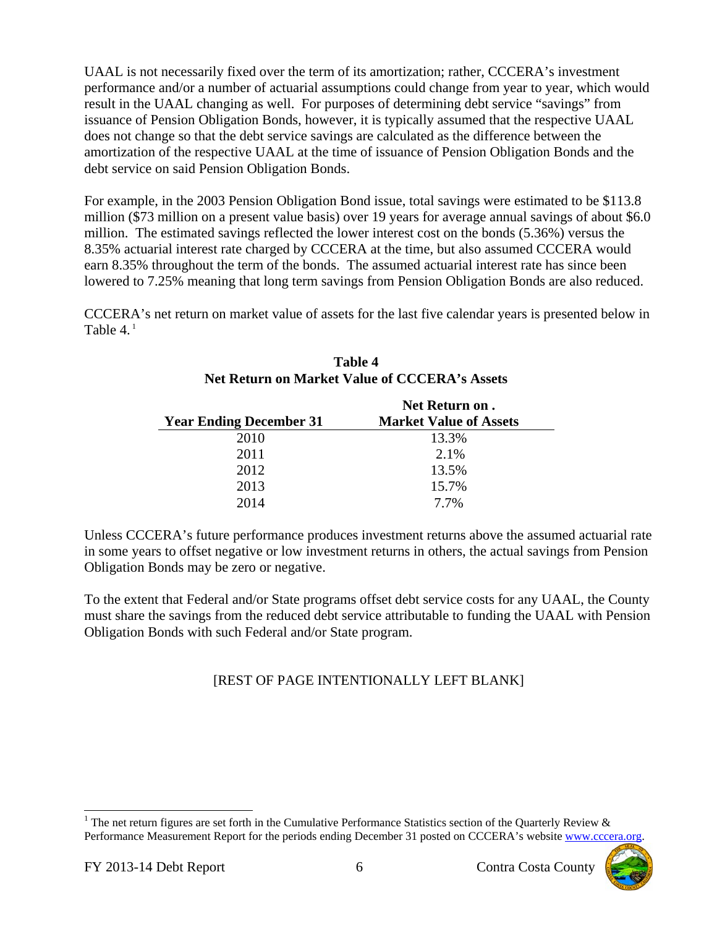UAAL is not necessarily fixed over the term of its amortization; rather, CCCERA's investment performance and/or a number of actuarial assumptions could change from year to year, which would result in the UAAL changing as well. For purposes of determining debt service "savings" from issuance of Pension Obligation Bonds, however, it is typically assumed that the respective UAAL does not change so that the debt service savings are calculated as the difference between the amortization of the respective UAAL at the time of issuance of Pension Obligation Bonds and the debt service on said Pension Obligation Bonds.

For example, in the 2003 Pension Obligation Bond issue, total savings were estimated to be \$113.8 million (\$73 million on a present value basis) over 19 years for average annual savings of about \$6.0 million. The estimated savings reflected the lower interest cost on the bonds (5.36%) versus the 8.35% actuarial interest rate charged by CCCERA at the time, but also assumed CCCERA would earn 8.35% throughout the term of the bonds. The assumed actuarial interest rate has since been lowered to 7.25% meaning that long term savings from Pension Obligation Bonds are also reduced.

CCCERA's net return on market value of assets for the last five calendar years is presented below in Table  $4.1$ 

|                                | Net Return on.                |
|--------------------------------|-------------------------------|
| <b>Year Ending December 31</b> | <b>Market Value of Assets</b> |
| 2010                           | 13.3%                         |
| 2011                           | 2.1%                          |
| 2012                           | 13.5%                         |
| 2013                           | 15.7%                         |
| 2014                           | 7 7 <sub>%</sub>              |

## **Table 4 Net Return on Market Value of CCCERA's Assets**

Unless CCCERA's future performance produces investment returns above the assumed actuarial rate in some years to offset negative or low investment returns in others, the actual savings from Pension Obligation Bonds may be zero or negative.

To the extent that Federal and/or State programs offset debt service costs for any UAAL, the County must share the savings from the reduced debt service attributable to funding the UAAL with Pension Obligation Bonds with such Federal and/or State program.

# [REST OF PAGE INTENTIONALLY LEFT BLANK]

 $\overline{\phantom{a}}$ 

<sup>&</sup>lt;sup>1</sup> The net return figures are set forth in the Cumulative Performance Statistics section of the Quarterly Review  $\&$ Performance Measurement Report for the periods ending December 31 posted on CCCERA's website www.cccera.org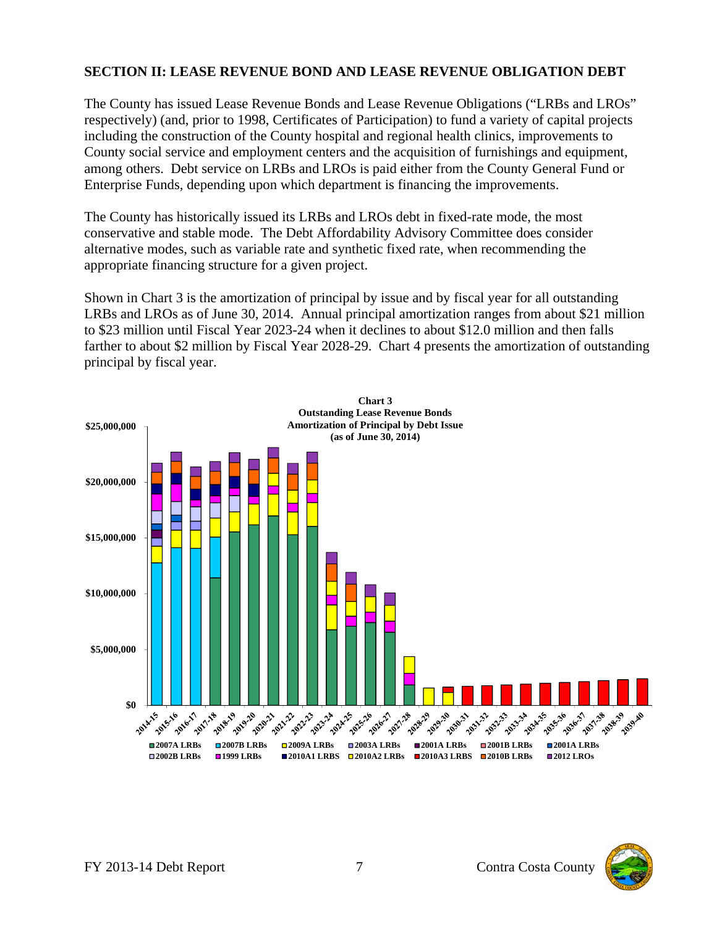## **SECTION II: LEASE REVENUE BOND AND LEASE REVENUE OBLIGATION DEBT**

The County has issued Lease Revenue Bonds and Lease Revenue Obligations ("LRBs and LROs" respectively) (and, prior to 1998, Certificates of Participation) to fund a variety of capital projects including the construction of the County hospital and regional health clinics, improvements to County social service and employment centers and the acquisition of furnishings and equipment, among others. Debt service on LRBs and LROs is paid either from the County General Fund or Enterprise Funds, depending upon which department is financing the improvements.

The County has historically issued its LRBs and LROs debt in fixed-rate mode, the most conservative and stable mode. The Debt Affordability Advisory Committee does consider alternative modes, such as variable rate and synthetic fixed rate, when recommending the appropriate financing structure for a given project.

Shown in Chart 3 is the amortization of principal by issue and by fiscal year for all outstanding LRBs and LROs as of June 30, 2014. Annual principal amortization ranges from about \$21 million to \$23 million until Fiscal Year 2023-24 when it declines to about \$12.0 million and then falls farther to about \$2 million by Fiscal Year 2028-29. Chart 4 presents the amortization of outstanding principal by fiscal year.



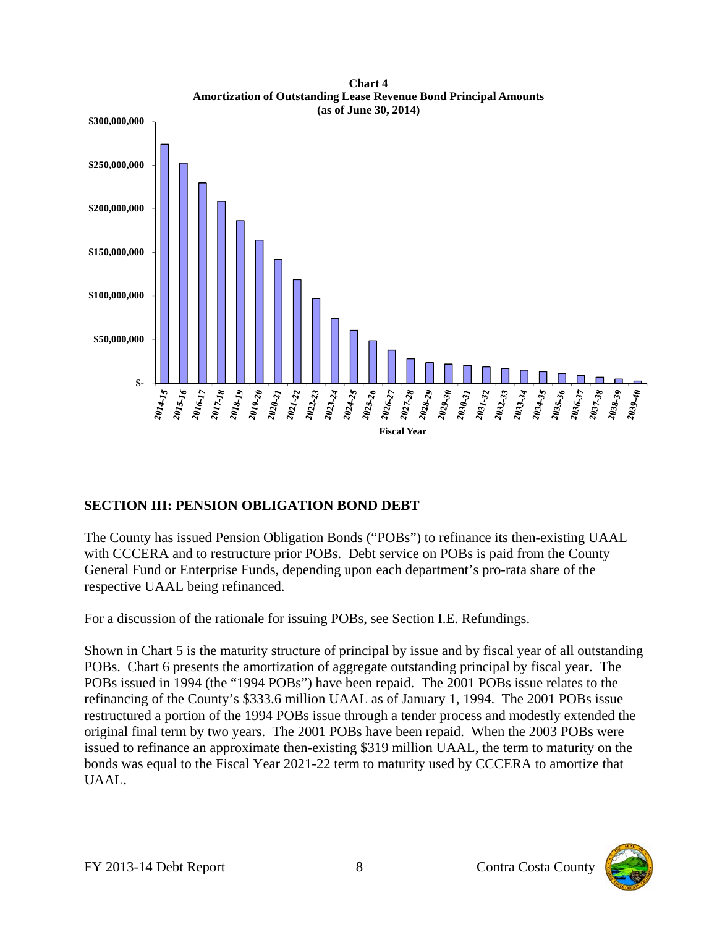

**Chart 4 Amortization of Outstanding Lease Revenue Bond Principal Amounts (as of June 30, 2014)**

# **SECTION III: PENSION OBLIGATION BOND DEBT**

The County has issued Pension Obligation Bonds ("POBs") to refinance its then-existing UAAL with CCCERA and to restructure prior POBs. Debt service on POBs is paid from the County General Fund or Enterprise Funds, depending upon each department's pro-rata share of the respective UAAL being refinanced.

For a discussion of the rationale for issuing POBs, see Section I.E. Refundings.

Shown in Chart 5 is the maturity structure of principal by issue and by fiscal year of all outstanding POBs. Chart 6 presents the amortization of aggregate outstanding principal by fiscal year. The POBs issued in 1994 (the "1994 POBs") have been repaid. The 2001 POBs issue relates to the refinancing of the County's \$333.6 million UAAL as of January 1, 1994. The 2001 POBs issue restructured a portion of the 1994 POBs issue through a tender process and modestly extended the original final term by two years. The 2001 POBs have been repaid. When the 2003 POBs were issued to refinance an approximate then-existing \$319 million UAAL, the term to maturity on the bonds was equal to the Fiscal Year 2021-22 term to maturity used by CCCERA to amortize that UAAL.

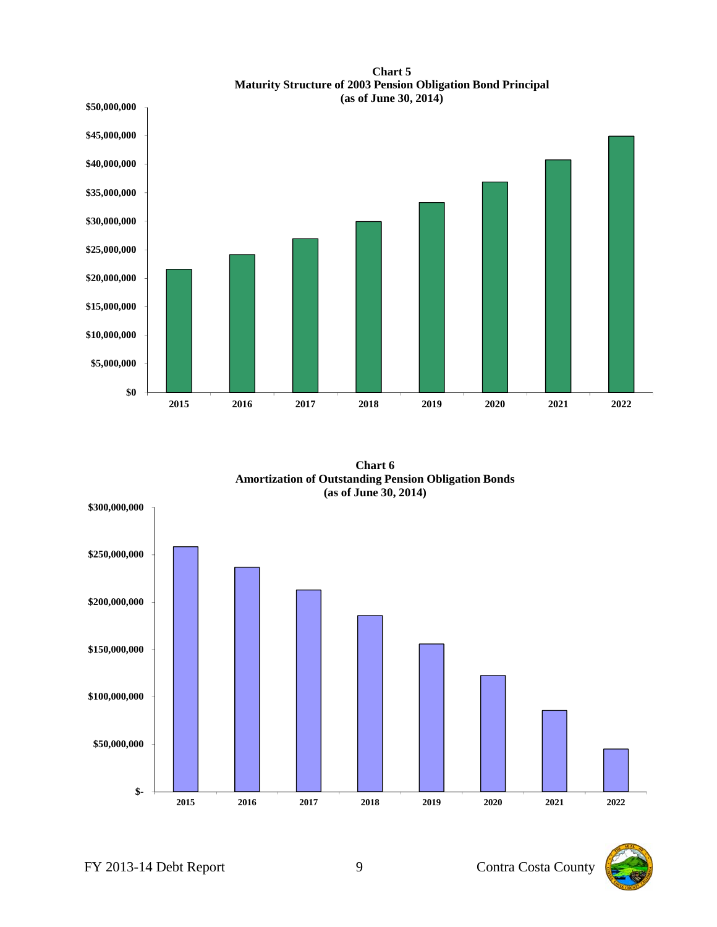

**Chart 5 Maturity Structure of 2003 Pension Obligation Bond Principal**

**Chart 6 Amortization of Outstanding Pension Obligation Bonds (as of June 30, 2014)**



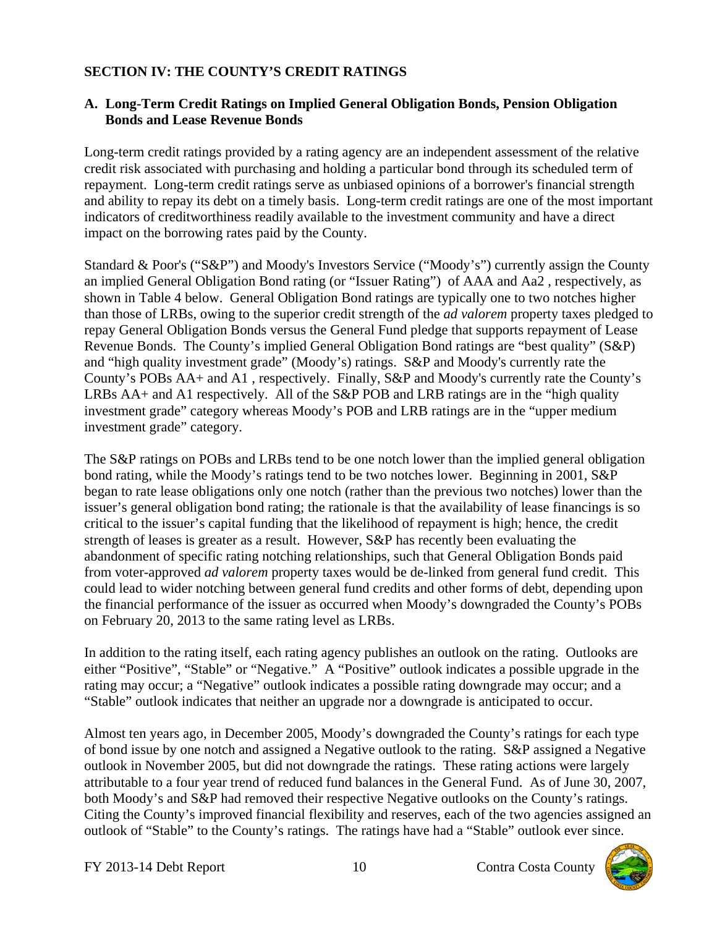## **SECTION IV: THE COUNTY'S CREDIT RATINGS**

### **A. Long-Term Credit Ratings on Implied General Obligation Bonds, Pension Obligation Bonds and Lease Revenue Bonds**

Long-term credit ratings provided by a rating agency are an independent assessment of the relative credit risk associated with purchasing and holding a particular bond through its scheduled term of repayment. Long-term credit ratings serve as unbiased opinions of a borrower's financial strength and ability to repay its debt on a timely basis. Long-term credit ratings are one of the most important indicators of creditworthiness readily available to the investment community and have a direct impact on the borrowing rates paid by the County.

Standard & Poor's ("S&P") and Moody's Investors Service ("Moody's") currently assign the County an implied General Obligation Bond rating (or "Issuer Rating") of AAA and Aa2 , respectively, as shown in Table 4 below. General Obligation Bond ratings are typically one to two notches higher than those of LRBs, owing to the superior credit strength of the *ad valorem* property taxes pledged to repay General Obligation Bonds versus the General Fund pledge that supports repayment of Lease Revenue Bonds. The County's implied General Obligation Bond ratings are "best quality" (S&P) and "high quality investment grade" (Moody's) ratings. S&P and Moody's currently rate the County's POBs AA+ and A1 , respectively. Finally, S&P and Moody's currently rate the County's LRBs AA+ and A1 respectively. All of the S&P POB and LRB ratings are in the "high quality investment grade" category whereas Moody's POB and LRB ratings are in the "upper medium investment grade" category.

The S&P ratings on POBs and LRBs tend to be one notch lower than the implied general obligation bond rating, while the Moody's ratings tend to be two notches lower. Beginning in 2001, S&P began to rate lease obligations only one notch (rather than the previous two notches) lower than the issuer's general obligation bond rating; the rationale is that the availability of lease financings is so critical to the issuer's capital funding that the likelihood of repayment is high; hence, the credit strength of leases is greater as a result. However, S&P has recently been evaluating the abandonment of specific rating notching relationships, such that General Obligation Bonds paid from voter-approved *ad valorem* property taxes would be de-linked from general fund credit. This could lead to wider notching between general fund credits and other forms of debt, depending upon the financial performance of the issuer as occurred when Moody's downgraded the County's POBs on February 20, 2013 to the same rating level as LRBs.

In addition to the rating itself, each rating agency publishes an outlook on the rating. Outlooks are either "Positive", "Stable" or "Negative." A "Positive" outlook indicates a possible upgrade in the rating may occur; a "Negative" outlook indicates a possible rating downgrade may occur; and a "Stable" outlook indicates that neither an upgrade nor a downgrade is anticipated to occur.

Almost ten years ago, in December 2005, Moody's downgraded the County's ratings for each type of bond issue by one notch and assigned a Negative outlook to the rating. S&P assigned a Negative outlook in November 2005, but did not downgrade the ratings. These rating actions were largely attributable to a four year trend of reduced fund balances in the General Fund. As of June 30, 2007, both Moody's and S&P had removed their respective Negative outlooks on the County's ratings. Citing the County's improved financial flexibility and reserves, each of the two agencies assigned an outlook of "Stable" to the County's ratings. The ratings have had a "Stable" outlook ever since.

FY 2013-14 Debt Report 10 Contra Costa County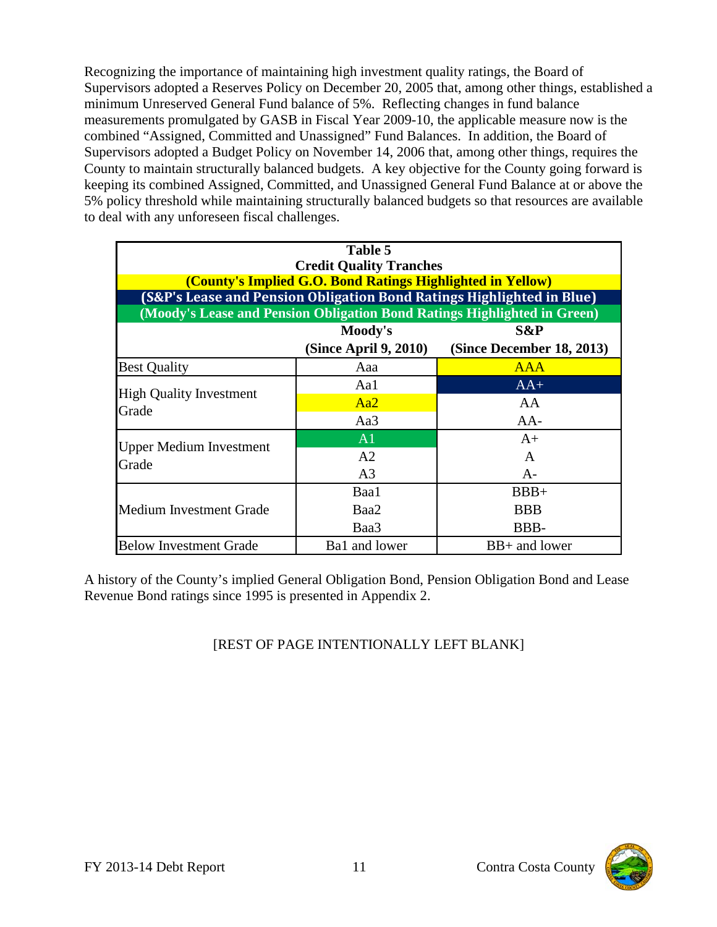Recognizing the importance of maintaining high investment quality ratings, the Board of Supervisors adopted a Reserves Policy on December 20, 2005 that, among other things, established a minimum Unreserved General Fund balance of 5%. Reflecting changes in fund balance measurements promulgated by GASB in Fiscal Year 2009-10, the applicable measure now is the combined "Assigned, Committed and Unassigned" Fund Balances. In addition, the Board of Supervisors adopted a Budget Policy on November 14, 2006 that, among other things, requires the County to maintain structurally balanced budgets. A key objective for the County going forward is keeping its combined Assigned, Committed, and Unassigned General Fund Balance at or above the 5% policy threshold while maintaining structurally balanced budgets so that resources are available to deal with any unforeseen fiscal challenges.

| Table 5<br><b>Credit Quality Tranches</b><br>(County's Implied G.O. Bond Ratings Highlighted in Yellow) |                       |                                                                                                                                                   |  |  |  |
|---------------------------------------------------------------------------------------------------------|-----------------------|---------------------------------------------------------------------------------------------------------------------------------------------------|--|--|--|
|                                                                                                         |                       | (S&P's Lease and Pension Obligation Bond Ratings Highlighted in Blue)<br>(Moody's Lease and Pension Obligation Bond Ratings Highlighted in Green) |  |  |  |
|                                                                                                         | Moody's               | S&P                                                                                                                                               |  |  |  |
|                                                                                                         | (Since April 9, 2010) | (Since December 18, 2013)                                                                                                                         |  |  |  |
| <b>Best Quality</b>                                                                                     | Aaa                   | AAA                                                                                                                                               |  |  |  |
| <b>High Quality Investment</b>                                                                          | Aa1                   | $AA+$                                                                                                                                             |  |  |  |
|                                                                                                         | Aa2                   | AA                                                                                                                                                |  |  |  |
| Grade                                                                                                   | Aa3                   | $AA-$                                                                                                                                             |  |  |  |
|                                                                                                         | A1                    | $A+$                                                                                                                                              |  |  |  |
| <b>Upper Medium Investment</b>                                                                          | A2                    | A                                                                                                                                                 |  |  |  |
| Grade                                                                                                   | A <sub>3</sub>        | $A-$                                                                                                                                              |  |  |  |
|                                                                                                         | Baa1                  | $BBB+$                                                                                                                                            |  |  |  |
| <b>Medium Investment Grade</b>                                                                          | Baa2                  | <b>BBB</b>                                                                                                                                        |  |  |  |
|                                                                                                         | Baa3                  | BBB-                                                                                                                                              |  |  |  |
| <b>Below Investment Grade</b>                                                                           | Ba1 and lower         | BB+ and lower                                                                                                                                     |  |  |  |

A history of the County's implied General Obligation Bond, Pension Obligation Bond and Lease Revenue Bond ratings since 1995 is presented in Appendix 2.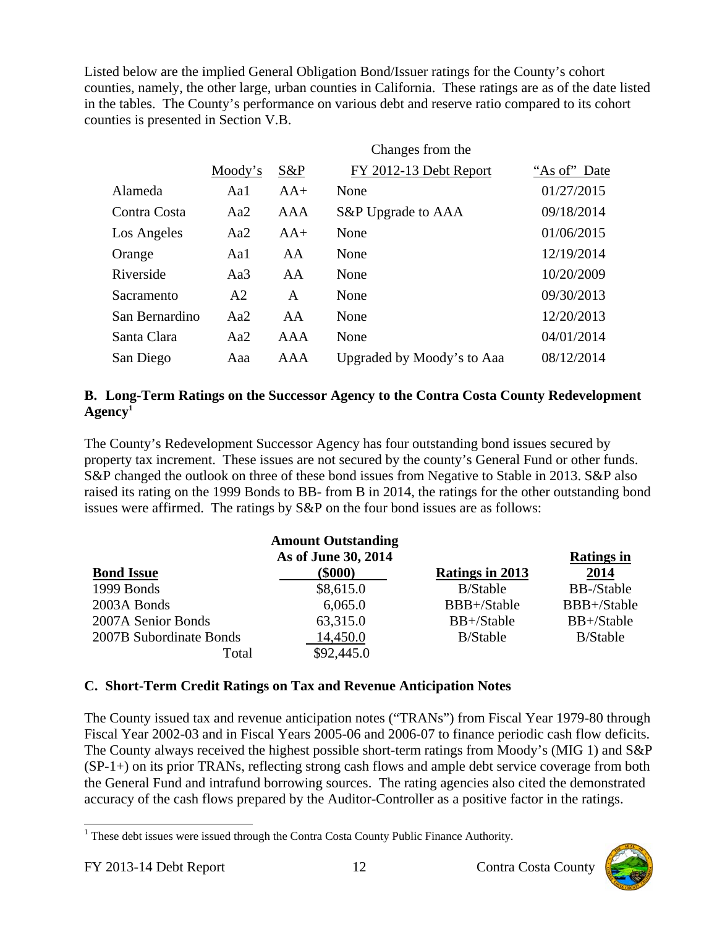Listed below are the implied General Obligation Bond/Issuer ratings for the County's cohort counties, namely, the other large, urban counties in California. These ratings are as of the date listed in the tables. The County's performance on various debt and reserve ratio compared to its cohort counties is presented in Section V.B.

|                |                |       | Changes from the           |              |
|----------------|----------------|-------|----------------------------|--------------|
|                | Moody's        | S&P   | FY 2012-13 Debt Report     | "As of" Date |
| Alameda        | Aa1            | $AA+$ | None                       | 01/27/2015   |
| Contra Costa   | Aa2            | AAA   | S&P Upgrade to AAA         | 09/18/2014   |
| Los Angeles    | Aa2            | $AA+$ | None                       | 01/06/2015   |
| Orange         | Aa1            | AA    | None                       | 12/19/2014   |
| Riverside      | Aa3            | AA    | None                       | 10/20/2009   |
| Sacramento     | A <sub>2</sub> | A     | None                       | 09/30/2013   |
| San Bernardino | Aa2            | AA    | None                       | 12/20/2013   |
| Santa Clara    | Aa2            | AAA   | None                       | 04/01/2014   |
| San Diego      | Aaa            | AAA   | Upgraded by Moody's to Aaa | 08/12/2014   |

## **B. Long-Term Ratings on the Successor Agency to the Contra Costa County Redevelopment Agency1**

The County's Redevelopment Successor Agency has four outstanding bond issues secured by property tax increment. These issues are not secured by the county's General Fund or other funds. S&P changed the outlook on three of these bond issues from Negative to Stable in 2013. S&P also raised its rating on the 1999 Bonds to BB- from B in 2014, the ratings for the other outstanding bond issues were affirmed. The ratings by S&P on the four bond issues are as follows:

|                         | <b>Amount Outstanding</b> |                  |                    |
|-------------------------|---------------------------|------------------|--------------------|
|                         | As of June 30, 2014       |                  | <b>Ratings in</b>  |
| <b>Bond Issue</b>       | $(\$000)$                 | Ratings in 2013  | 2014               |
| 1999 Bonds              | \$8,615.0                 | <b>B</b> /Stable | <b>BB-</b> /Stable |
| 2003A Bonds             | 6,065.0                   | BBB+/Stable      | BBB+/Stable        |
| 2007A Senior Bonds      | 63,315.0                  | BB+/Stable       | BB+/Stable         |
| 2007B Subordinate Bonds | 14,450.0                  | <b>B</b> /Stable | <b>B</b> /Stable   |
| Total                   | \$92,445.0                |                  |                    |

## **C. Short-Term Credit Ratings on Tax and Revenue Anticipation Notes**

The County issued tax and revenue anticipation notes ("TRANs") from Fiscal Year 1979-80 through Fiscal Year 2002-03 and in Fiscal Years 2005-06 and 2006-07 to finance periodic cash flow deficits. The County always received the highest possible short-term ratings from Moody's (MIG 1) and S&P (SP-1+) on its prior TRANs, reflecting strong cash flows and ample debt service coverage from both the General Fund and intrafund borrowing sources. The rating agencies also cited the demonstrated accuracy of the cash flows prepared by the Auditor-Controller as a positive factor in the ratings.



<sup>&</sup>lt;sup>1</sup> These debt issues were issued through the Contra Costa County Public Finance Authority.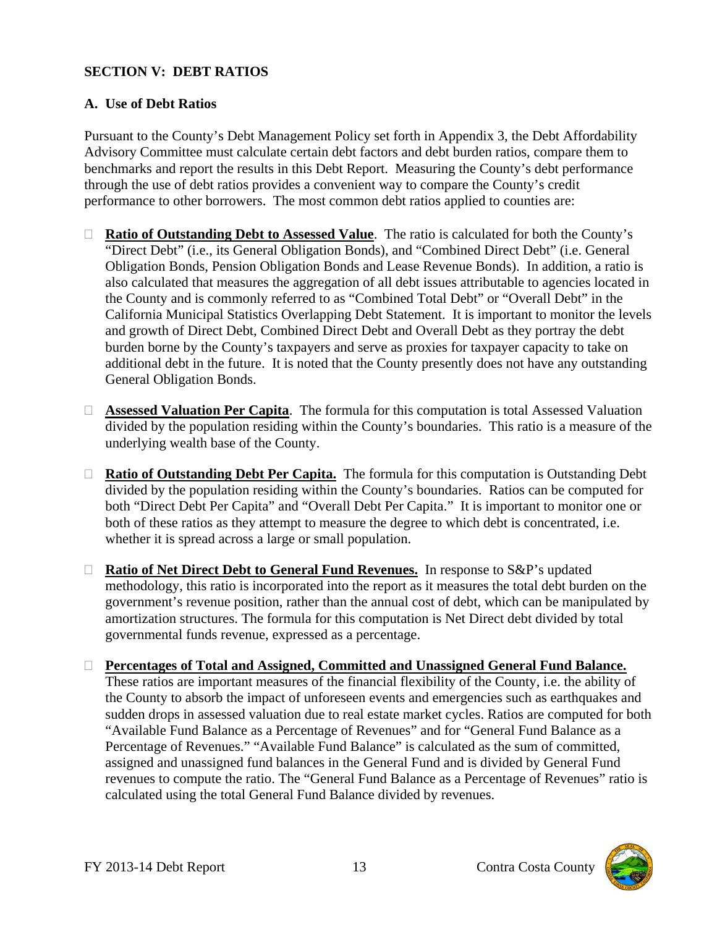## **SECTION V: DEBT RATIOS**

## **A. Use of Debt Ratios**

Pursuant to the County's Debt Management Policy set forth in Appendix 3, the Debt Affordability Advisory Committee must calculate certain debt factors and debt burden ratios, compare them to benchmarks and report the results in this Debt Report. Measuring the County's debt performance through the use of debt ratios provides a convenient way to compare the County's credit performance to other borrowers. The most common debt ratios applied to counties are:

- **Ratio of Outstanding Debt to Assessed Value**. The ratio is calculated for both the County's "Direct Debt" (i.e., its General Obligation Bonds), and "Combined Direct Debt" (i.e. General Obligation Bonds, Pension Obligation Bonds and Lease Revenue Bonds). In addition, a ratio is also calculated that measures the aggregation of all debt issues attributable to agencies located in the County and is commonly referred to as "Combined Total Debt" or "Overall Debt" in the California Municipal Statistics Overlapping Debt Statement. It is important to monitor the levels and growth of Direct Debt, Combined Direct Debt and Overall Debt as they portray the debt burden borne by the County's taxpayers and serve as proxies for taxpayer capacity to take on additional debt in the future. It is noted that the County presently does not have any outstanding General Obligation Bonds.
- **Assessed Valuation Per Capita**. The formula for this computation is total Assessed Valuation divided by the population residing within the County's boundaries. This ratio is a measure of the underlying wealth base of the County.
- **Ratio of Outstanding Debt Per Capita.** The formula for this computation is Outstanding Debt divided by the population residing within the County's boundaries. Ratios can be computed for both "Direct Debt Per Capita" and "Overall Debt Per Capita." It is important to monitor one or both of these ratios as they attempt to measure the degree to which debt is concentrated, i.e. whether it is spread across a large or small population.
- **Ratio of Net Direct Debt to General Fund Revenues.** In response to S&P's updated methodology, this ratio is incorporated into the report as it measures the total debt burden on the government's revenue position, rather than the annual cost of debt, which can be manipulated by amortization structures. The formula for this computation is Net Direct debt divided by total governmental funds revenue, expressed as a percentage.
- **Percentages of Total and Assigned, Committed and Unassigned General Fund Balance.** These ratios are important measures of the financial flexibility of the County, i.e. the ability of the County to absorb the impact of unforeseen events and emergencies such as earthquakes and sudden drops in assessed valuation due to real estate market cycles. Ratios are computed for both "Available Fund Balance as a Percentage of Revenues" and for "General Fund Balance as a Percentage of Revenues." "Available Fund Balance" is calculated as the sum of committed, assigned and unassigned fund balances in the General Fund and is divided by General Fund revenues to compute the ratio. The "General Fund Balance as a Percentage of Revenues" ratio is calculated using the total General Fund Balance divided by revenues.

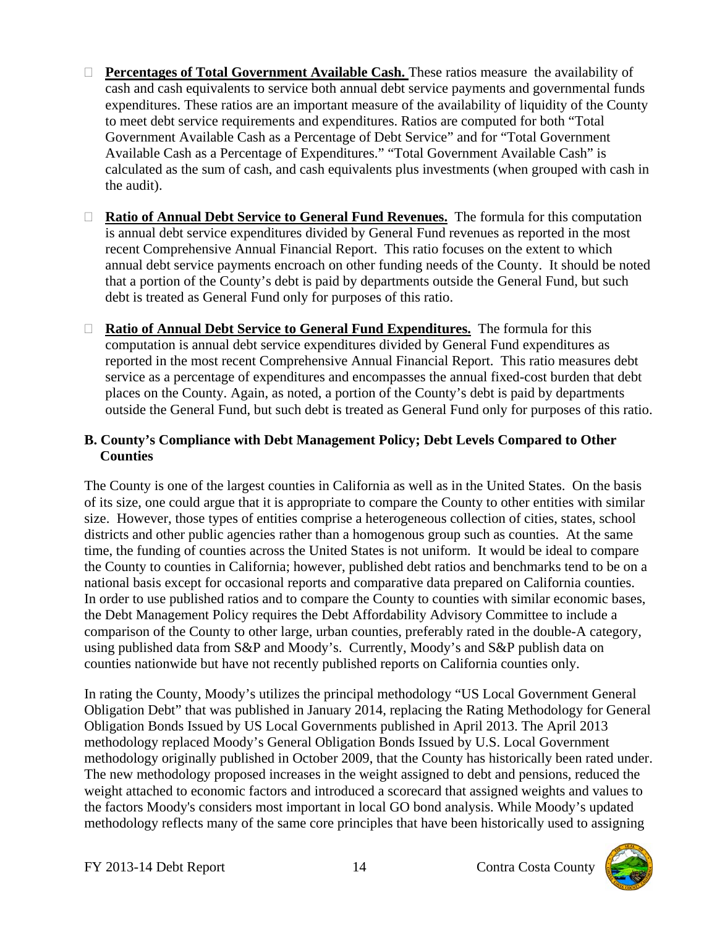- **Percentages of Total Government Available Cash.** These ratios measure the availability of cash and cash equivalents to service both annual debt service payments and governmental funds expenditures. These ratios are an important measure of the availability of liquidity of the County to meet debt service requirements and expenditures. Ratios are computed for both "Total Government Available Cash as a Percentage of Debt Service" and for "Total Government Available Cash as a Percentage of Expenditures." "Total Government Available Cash" is calculated as the sum of cash, and cash equivalents plus investments (when grouped with cash in the audit).
- **Ratio of Annual Debt Service to General Fund Revenues.** The formula for this computation is annual debt service expenditures divided by General Fund revenues as reported in the most recent Comprehensive Annual Financial Report. This ratio focuses on the extent to which annual debt service payments encroach on other funding needs of the County. It should be noted that a portion of the County's debt is paid by departments outside the General Fund, but such debt is treated as General Fund only for purposes of this ratio.
- **Ratio of Annual Debt Service to General Fund Expenditures.** The formula for this computation is annual debt service expenditures divided by General Fund expenditures as reported in the most recent Comprehensive Annual Financial Report. This ratio measures debt service as a percentage of expenditures and encompasses the annual fixed-cost burden that debt places on the County. Again, as noted, a portion of the County's debt is paid by departments outside the General Fund, but such debt is treated as General Fund only for purposes of this ratio.

## **B. County's Compliance with Debt Management Policy; Debt Levels Compared to Other Counties**

The County is one of the largest counties in California as well as in the United States. On the basis of its size, one could argue that it is appropriate to compare the County to other entities with similar size. However, those types of entities comprise a heterogeneous collection of cities, states, school districts and other public agencies rather than a homogenous group such as counties. At the same time, the funding of counties across the United States is not uniform. It would be ideal to compare the County to counties in California; however, published debt ratios and benchmarks tend to be on a national basis except for occasional reports and comparative data prepared on California counties. In order to use published ratios and to compare the County to counties with similar economic bases, the Debt Management Policy requires the Debt Affordability Advisory Committee to include a comparison of the County to other large, urban counties, preferably rated in the double-A category, using published data from S&P and Moody's. Currently, Moody's and S&P publish data on counties nationwide but have not recently published reports on California counties only.

In rating the County, Moody's utilizes the principal methodology "US Local Government General Obligation Debt" that was published in January 2014, replacing the Rating Methodology for General Obligation Bonds Issued by US Local Governments published in April 2013. The April 2013 methodology replaced Moody's General Obligation Bonds Issued by U.S. Local Government methodology originally published in October 2009, that the County has historically been rated under. The new methodology proposed increases in the weight assigned to debt and pensions, reduced the weight attached to economic factors and introduced a scorecard that assigned weights and values to the factors Moody's considers most important in local GO bond analysis. While Moody's updated methodology reflects many of the same core principles that have been historically used to assigning

FY 2013-14 Debt Report 14 Contra Costa County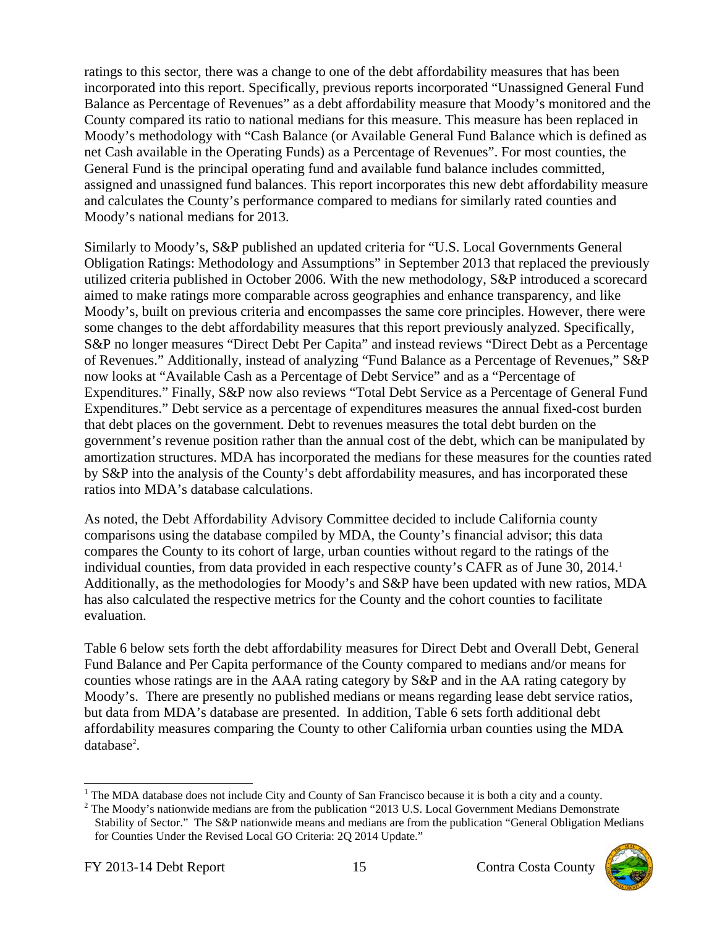ratings to this sector, there was a change to one of the debt affordability measures that has been incorporated into this report. Specifically, previous reports incorporated "Unassigned General Fund Balance as Percentage of Revenues" as a debt affordability measure that Moody's monitored and the County compared its ratio to national medians for this measure. This measure has been replaced in Moody's methodology with "Cash Balance (or Available General Fund Balance which is defined as net Cash available in the Operating Funds) as a Percentage of Revenues". For most counties, the General Fund is the principal operating fund and available fund balance includes committed, assigned and unassigned fund balances. This report incorporates this new debt affordability measure and calculates the County's performance compared to medians for similarly rated counties and Moody's national medians for 2013.

Similarly to Moody's, S&P published an updated criteria for "U.S. Local Governments General Obligation Ratings: Methodology and Assumptions" in September 2013 that replaced the previously utilized criteria published in October 2006. With the new methodology, S&P introduced a scorecard aimed to make ratings more comparable across geographies and enhance transparency, and like Moody's, built on previous criteria and encompasses the same core principles. However, there were some changes to the debt affordability measures that this report previously analyzed. Specifically, S&P no longer measures "Direct Debt Per Capita" and instead reviews "Direct Debt as a Percentage of Revenues." Additionally, instead of analyzing "Fund Balance as a Percentage of Revenues," S&P now looks at "Available Cash as a Percentage of Debt Service" and as a "Percentage of Expenditures." Finally, S&P now also reviews "Total Debt Service as a Percentage of General Fund Expenditures." Debt service as a percentage of expenditures measures the annual fixed-cost burden that debt places on the government. Debt to revenues measures the total debt burden on the government's revenue position rather than the annual cost of the debt, which can be manipulated by amortization structures. MDA has incorporated the medians for these measures for the counties rated by S&P into the analysis of the County's debt affordability measures, and has incorporated these ratios into MDA's database calculations.

As noted, the Debt Affordability Advisory Committee decided to include California county comparisons using the database compiled by MDA, the County's financial advisor; this data compares the County to its cohort of large, urban counties without regard to the ratings of the individual counties, from data provided in each respective county's CAFR as of June  $30, 2014$ .<sup>1</sup> Additionally, as the methodologies for Moody's and S&P have been updated with new ratios, MDA has also calculated the respective metrics for the County and the cohort counties to facilitate evaluation.

Table 6 below sets forth the debt affordability measures for Direct Debt and Overall Debt, General Fund Balance and Per Capita performance of the County compared to medians and/or means for counties whose ratings are in the AAA rating category by S&P and in the AA rating category by Moody's. There are presently no published medians or means regarding lease debt service ratios, but data from MDA's database are presented. In addition, Table 6 sets forth additional debt affordability measures comparing the County to other California urban counties using the MDA database<sup>2</sup>.

 $\overline{\phantom{a}}$ 



<sup>&</sup>lt;sup>1</sup> The MDA database does not include City and County of San Francisco because it is both a city and a county.

 $2$  The Moody's nationwide medians are from the publication "2013 U.S. Local Government Medians Demonstrate Stability of Sector." The S&P nationwide means and medians are from the publication "General Obligation Medians for Counties Under the Revised Local GO Criteria: 2Q 2014 Update."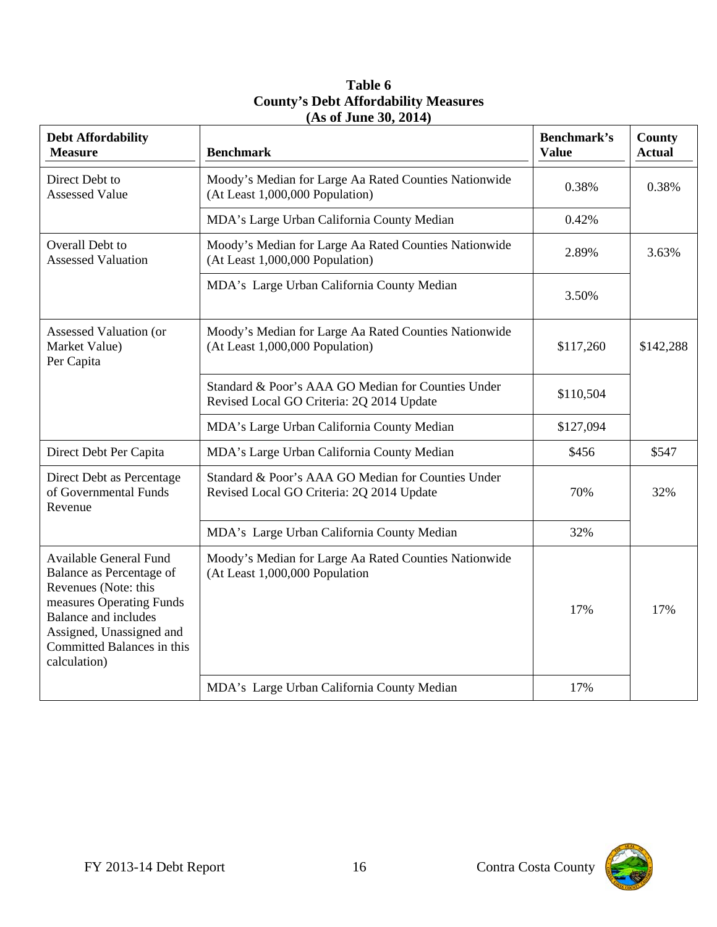| <b>Debt Affordability</b><br><b>Measure</b>                                                                                                                                                                     | <b>Benchmark</b>                                                                                | <b>Benchmark's</b><br><b>Value</b> | County<br><b>Actual</b> |
|-----------------------------------------------------------------------------------------------------------------------------------------------------------------------------------------------------------------|-------------------------------------------------------------------------------------------------|------------------------------------|-------------------------|
| Direct Debt to<br><b>Assessed Value</b>                                                                                                                                                                         | Moody's Median for Large Aa Rated Counties Nationwide<br>(At Least 1,000,000 Population)        | 0.38%                              | 0.38%                   |
|                                                                                                                                                                                                                 | MDA's Large Urban California County Median                                                      | 0.42%                              |                         |
| Overall Debt to<br><b>Assessed Valuation</b>                                                                                                                                                                    | Moody's Median for Large Aa Rated Counties Nationwide<br>(At Least 1,000,000 Population)        | 2.89%                              | 3.63%                   |
|                                                                                                                                                                                                                 | MDA's Large Urban California County Median                                                      | 3.50%                              |                         |
| <b>Assessed Valuation (or</b><br>Market Value)<br>Per Capita                                                                                                                                                    | Moody's Median for Large Aa Rated Counties Nationwide<br>(At Least 1,000,000 Population)        | \$117,260                          | \$142,288               |
|                                                                                                                                                                                                                 | Standard & Poor's AAA GO Median for Counties Under<br>Revised Local GO Criteria: 2Q 2014 Update | \$110,504                          |                         |
|                                                                                                                                                                                                                 | MDA's Large Urban California County Median                                                      | \$127,094                          |                         |
| Direct Debt Per Capita                                                                                                                                                                                          | MDA's Large Urban California County Median                                                      | \$456                              | \$547                   |
| Direct Debt as Percentage<br>of Governmental Funds<br>Revenue                                                                                                                                                   | Standard & Poor's AAA GO Median for Counties Under<br>Revised Local GO Criteria: 2Q 2014 Update | 70%                                | 32%                     |
|                                                                                                                                                                                                                 | MDA's Large Urban California County Median                                                      | 32%                                |                         |
| Available General Fund<br>Balance as Percentage of<br>Revenues (Note: this<br>measures Operating Funds<br><b>Balance and includes</b><br>Assigned, Unassigned and<br>Committed Balances in this<br>calculation) | Moody's Median for Large Aa Rated Counties Nationwide<br>(At Least 1,000,000 Population         | 17%                                | 17%                     |
|                                                                                                                                                                                                                 | MDA's Large Urban California County Median                                                      | 17%                                |                         |

### **Table 6 County's Debt Affordability Measures (As of June 30, 2014)**

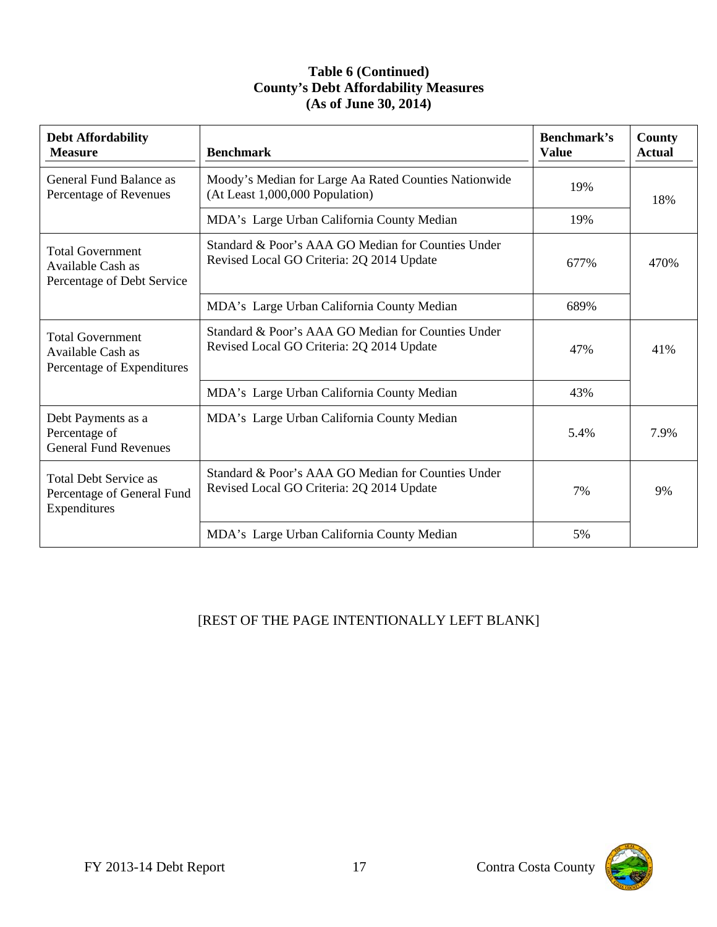### **Table 6 (Continued) County's Debt Affordability Measures (As of June 30, 2014)**

| <b>Debt Affordability</b><br><b>Measure</b>                                | <b>Benchmark</b>                                                                                | Benchmark's<br><b>Value</b> | County<br><b>Actual</b> |
|----------------------------------------------------------------------------|-------------------------------------------------------------------------------------------------|-----------------------------|-------------------------|
| General Fund Balance as<br>Percentage of Revenues                          | Moody's Median for Large Aa Rated Counties Nationwide<br>(At Least 1,000,000 Population)        | 19%                         | 18%                     |
|                                                                            | MDA's Large Urban California County Median                                                      | 19%                         |                         |
| <b>Total Government</b><br>Available Cash as<br>Percentage of Debt Service | Standard & Poor's AAA GO Median for Counties Under<br>Revised Local GO Criteria: 2Q 2014 Update | 677%                        | 470%                    |
|                                                                            | MDA's Large Urban California County Median                                                      | 689%                        |                         |
| <b>Total Government</b><br>Available Cash as<br>Percentage of Expenditures | Standard & Poor's AAA GO Median for Counties Under<br>Revised Local GO Criteria: 2Q 2014 Update | 47%                         | 41%                     |
|                                                                            | MDA's Large Urban California County Median                                                      | 43%                         |                         |
| Debt Payments as a<br>Percentage of<br><b>General Fund Revenues</b>        | MDA's Large Urban California County Median                                                      | 5.4%                        | 7.9%                    |
| <b>Total Debt Service as</b><br>Percentage of General Fund<br>Expenditures | Standard & Poor's AAA GO Median for Counties Under<br>Revised Local GO Criteria: 2Q 2014 Update | 7%                          | 9%                      |
|                                                                            | MDA's Large Urban California County Median                                                      | 5%                          |                         |

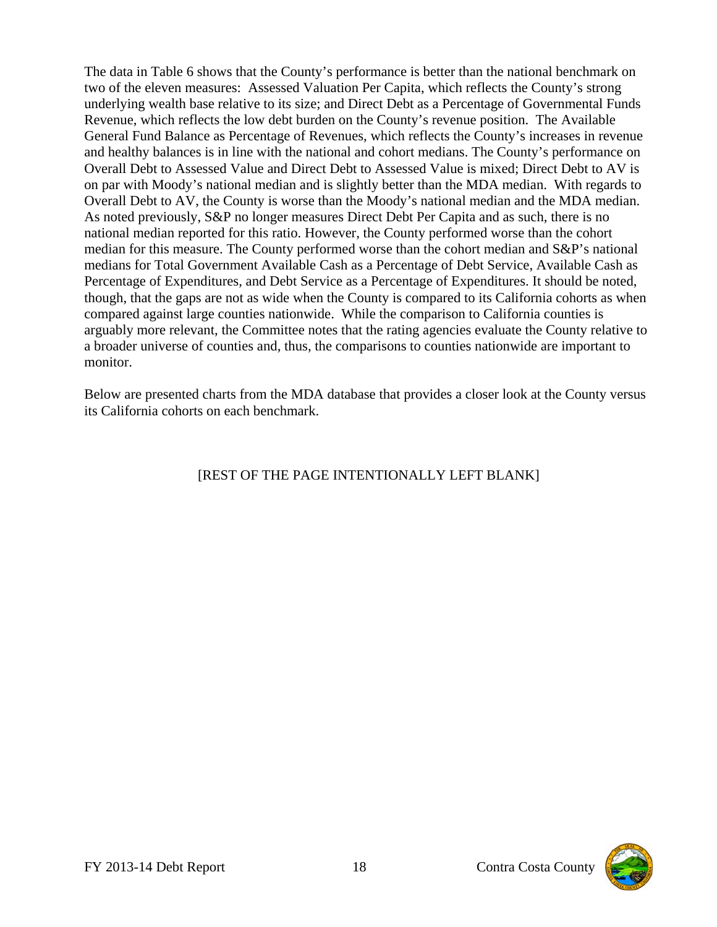The data in Table 6 shows that the County's performance is better than the national benchmark on two of the eleven measures: Assessed Valuation Per Capita, which reflects the County's strong underlying wealth base relative to its size; and Direct Debt as a Percentage of Governmental Funds Revenue, which reflects the low debt burden on the County's revenue position. The Available General Fund Balance as Percentage of Revenues, which reflects the County's increases in revenue and healthy balances is in line with the national and cohort medians. The County's performance on Overall Debt to Assessed Value and Direct Debt to Assessed Value is mixed; Direct Debt to AV is on par with Moody's national median and is slightly better than the MDA median. With regards to Overall Debt to AV, the County is worse than the Moody's national median and the MDA median. As noted previously, S&P no longer measures Direct Debt Per Capita and as such, there is no national median reported for this ratio. However, the County performed worse than the cohort median for this measure. The County performed worse than the cohort median and S&P's national medians for Total Government Available Cash as a Percentage of Debt Service, Available Cash as Percentage of Expenditures, and Debt Service as a Percentage of Expenditures. It should be noted, though, that the gaps are not as wide when the County is compared to its California cohorts as when compared against large counties nationwide. While the comparison to California counties is arguably more relevant, the Committee notes that the rating agencies evaluate the County relative to a broader universe of counties and, thus, the comparisons to counties nationwide are important to monitor.

Below are presented charts from the MDA database that provides a closer look at the County versus its California cohorts on each benchmark.

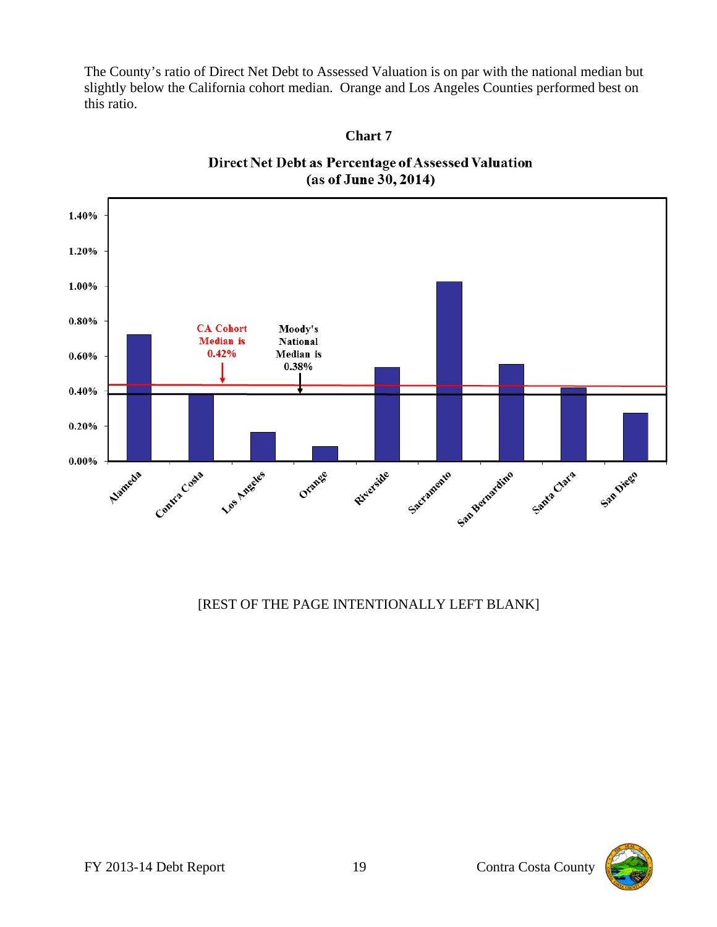The County's ratio of Direct Net Debt to Assessed Valuation is on par with the national median but slightly below the California cohort median. Orange and Los Angeles Counties performed best on this ratio.



Direct Net Debt as Percentage of Assessed Valuation (as of June 30, 2014)

**Chart 7** 

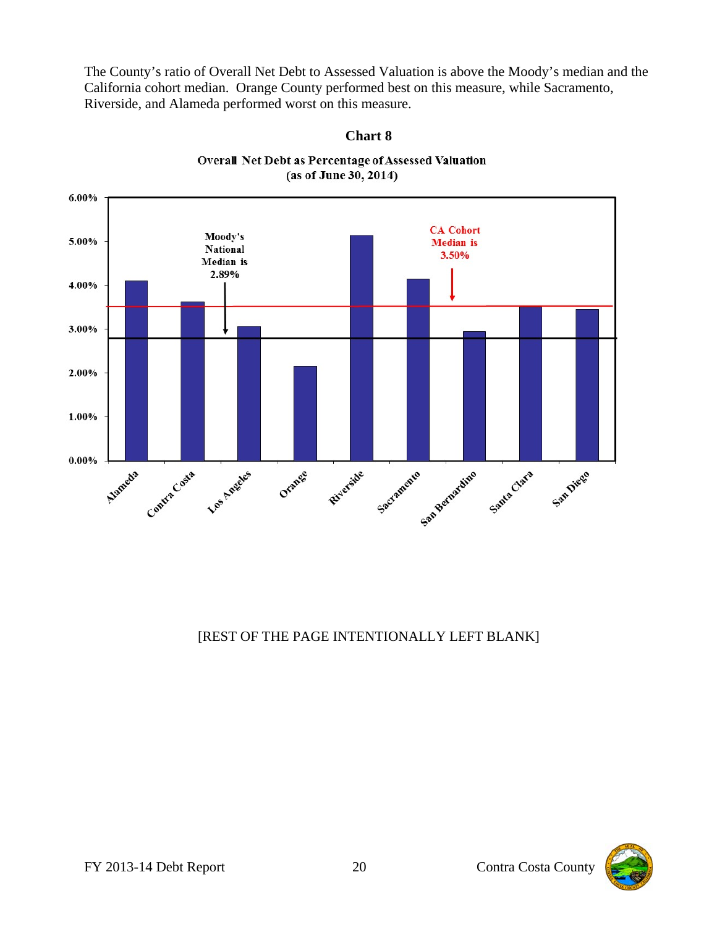The County's ratio of Overall Net Debt to Assessed Valuation is above the Moody's median and the California cohort median. Orange County performed best on this measure, while Sacramento, Riverside, and Alameda performed worst on this measure.

**Chart 8** 



**Overall Net Debt as Percentage of Assessed Valuation** (as of June 30, 2014)

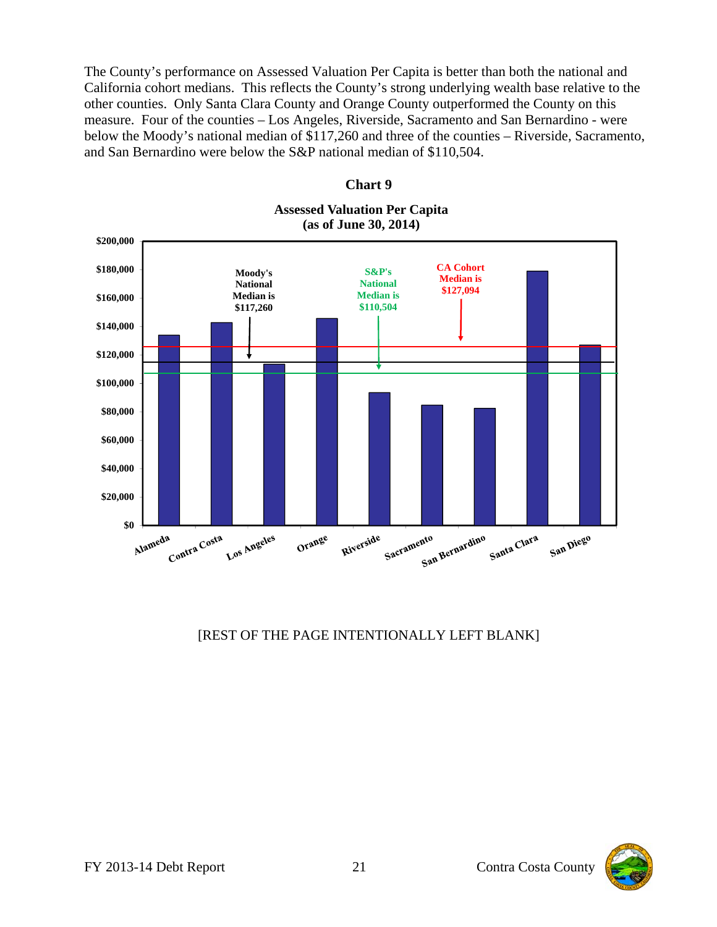The County's performance on Assessed Valuation Per Capita is better than both the national and California cohort medians. This reflects the County's strong underlying wealth base relative to the other counties. Only Santa Clara County and Orange County outperformed the County on this measure. Four of the counties – Los Angeles, Riverside, Sacramento and San Bernardino - were below the Moody's national median of \$117,260 and three of the counties – Riverside, Sacramento, and San Bernardino were below the S&P national median of \$110,504.



# **Chart 9 Assessed Valuation Per Capita**

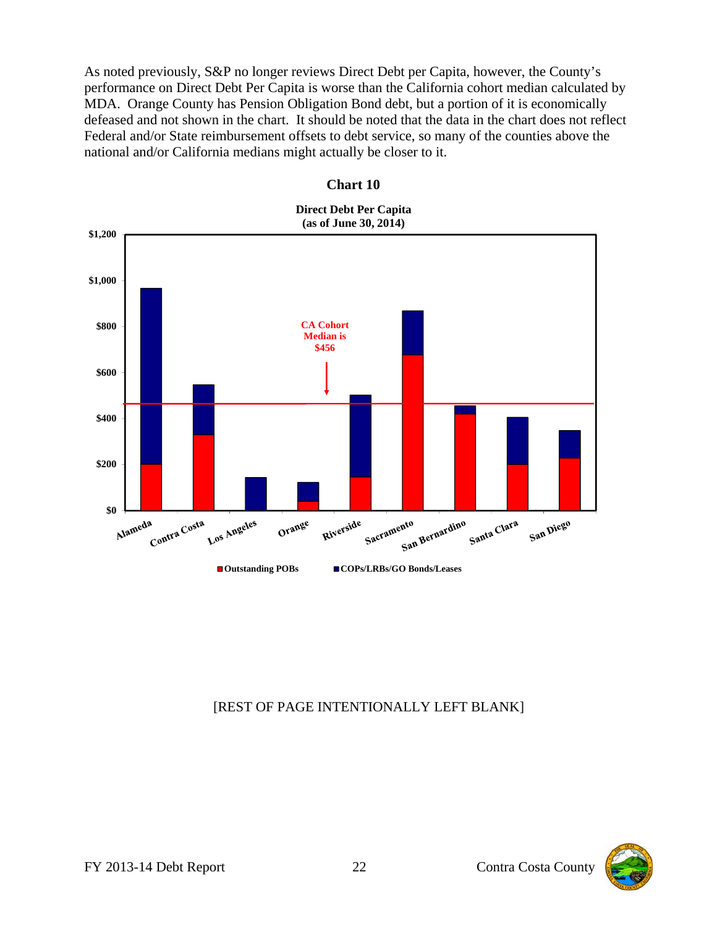As noted previously, S&P no longer reviews Direct Debt per Capita, however, the County's performance on Direct Debt Per Capita is worse than the California cohort median calculated by MDA. Orange County has Pension Obligation Bond debt, but a portion of it is economically defeased and not shown in the chart. It should be noted that the data in the chart does not reflect Federal and/or State reimbursement offsets to debt service, so many of the counties above the national and/or California medians might actually be closer to it.



## **Chart 10**

**Direct Debt Per Capita**

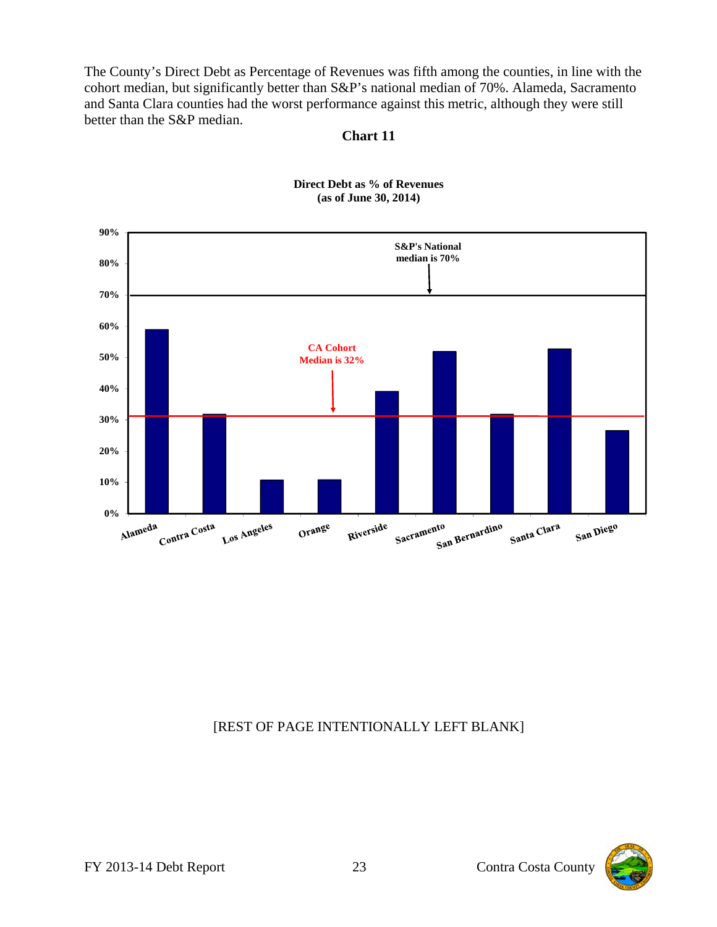The County's Direct Debt as Percentage of Revenues was fifth among the counties, in line with the cohort median, but significantly better than S&P's national median of 70%. Alameda, Sacramento and Santa Clara counties had the worst performance against this metric, although they were still better than the S&P median.

### **Chart 11**

![](_page_33_Figure_2.jpeg)

#### **Direct Debt as % of Revenues (as of June 30, 2014)**

![](_page_33_Picture_5.jpeg)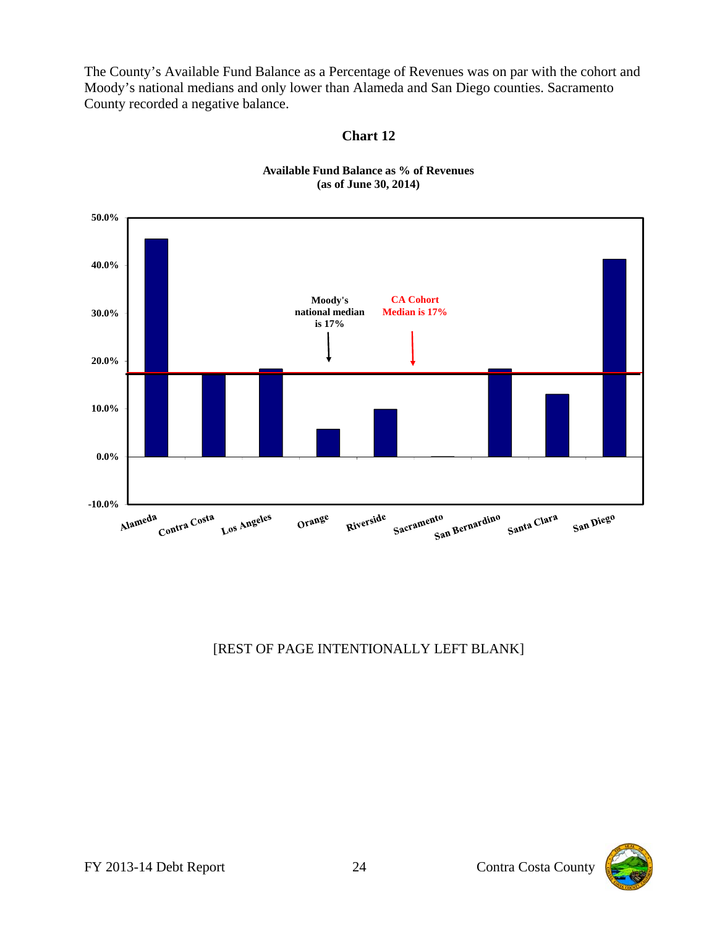The County's Available Fund Balance as a Percentage of Revenues was on par with the cohort and Moody's national medians and only lower than Alameda and San Diego counties. Sacramento County recorded a negative balance.

### **Chart 12**

![](_page_34_Figure_2.jpeg)

#### **Available Fund Balance as % of Revenues (as of June 30, 2014)**

![](_page_34_Picture_5.jpeg)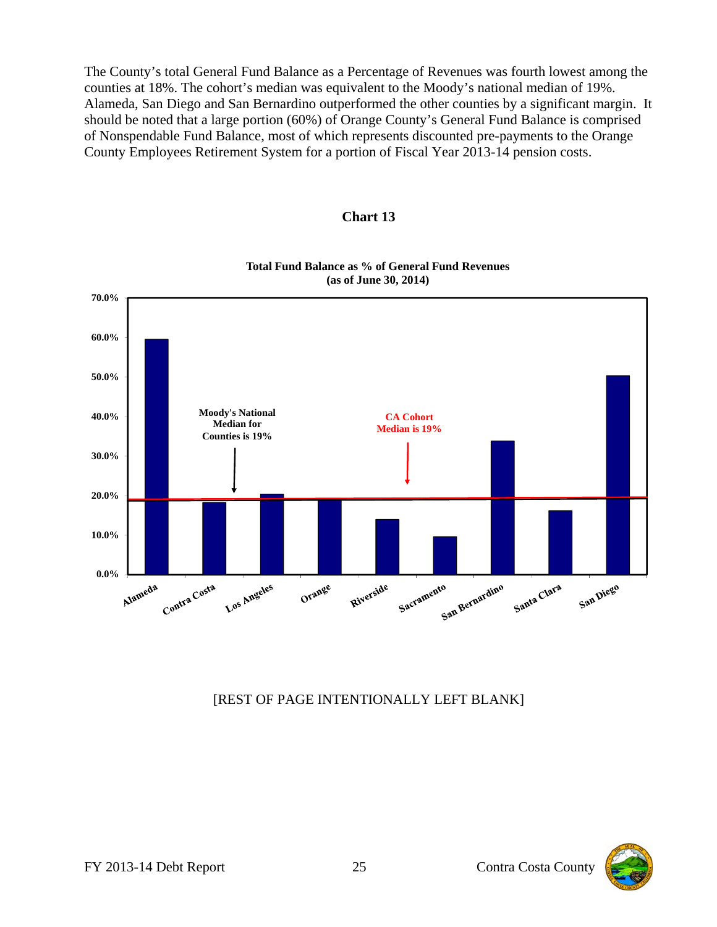The County's total General Fund Balance as a Percentage of Revenues was fourth lowest among the counties at 18%. The cohort's median was equivalent to the Moody's national median of 19%. Alameda, San Diego and San Bernardino outperformed the other counties by a significant margin. It should be noted that a large portion (60%) of Orange County's General Fund Balance is comprised of Nonspendable Fund Balance, most of which represents discounted pre-payments to the Orange County Employees Retirement System for a portion of Fiscal Year 2013-14 pension costs.

![](_page_35_Figure_1.jpeg)

#### **Chart 13**

![](_page_35_Picture_6.jpeg)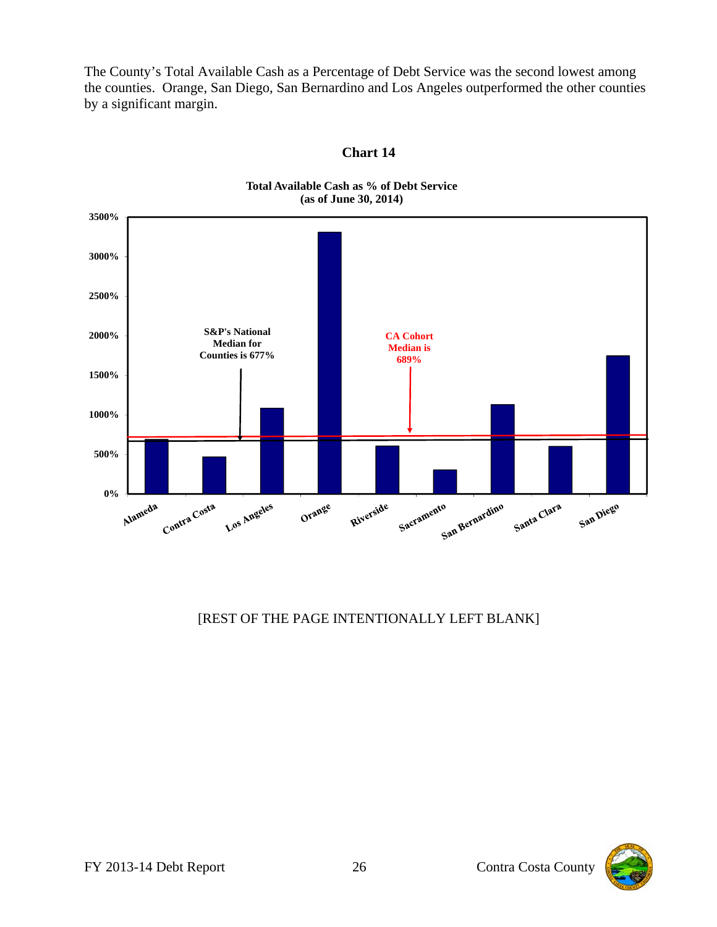The County's Total Available Cash as a Percentage of Debt Service was the second lowest among the counties. Orange, San Diego, San Bernardino and Los Angeles outperformed the other counties by a significant margin.

![](_page_36_Figure_1.jpeg)

**Chart 14** 

![](_page_36_Picture_4.jpeg)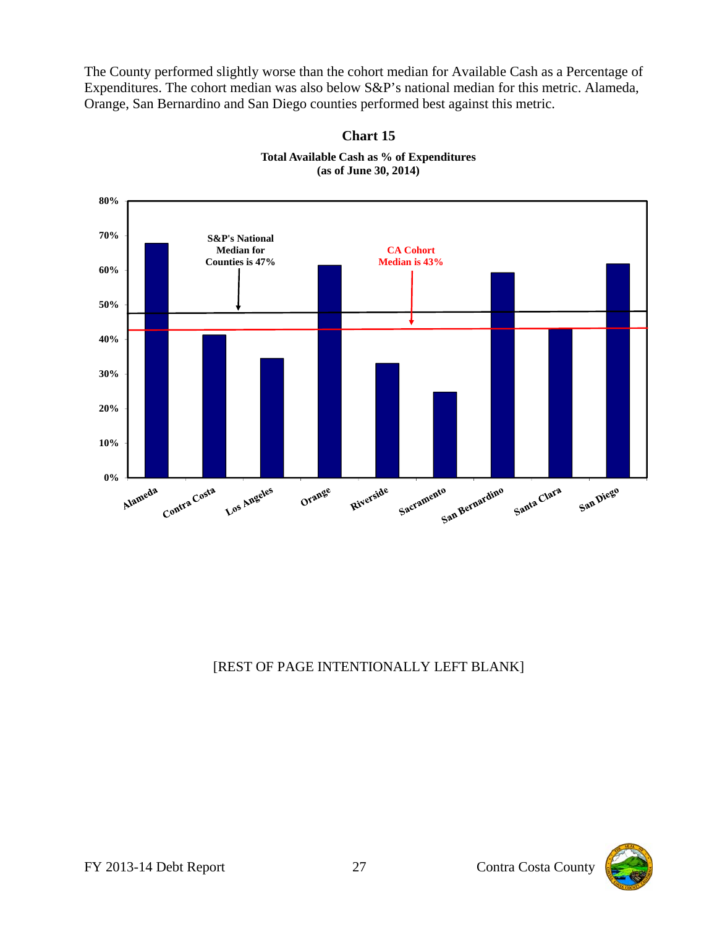The County performed slightly worse than the cohort median for Available Cash as a Percentage of Expenditures. The cohort median was also below S&P's national median for this metric. Alameda, Orange, San Bernardino and San Diego counties performed best against this metric.

![](_page_37_Figure_1.jpeg)

**Total Available Cash as % of Expenditures (as of June 30, 2014)**

**Chart 15** 

![](_page_37_Picture_4.jpeg)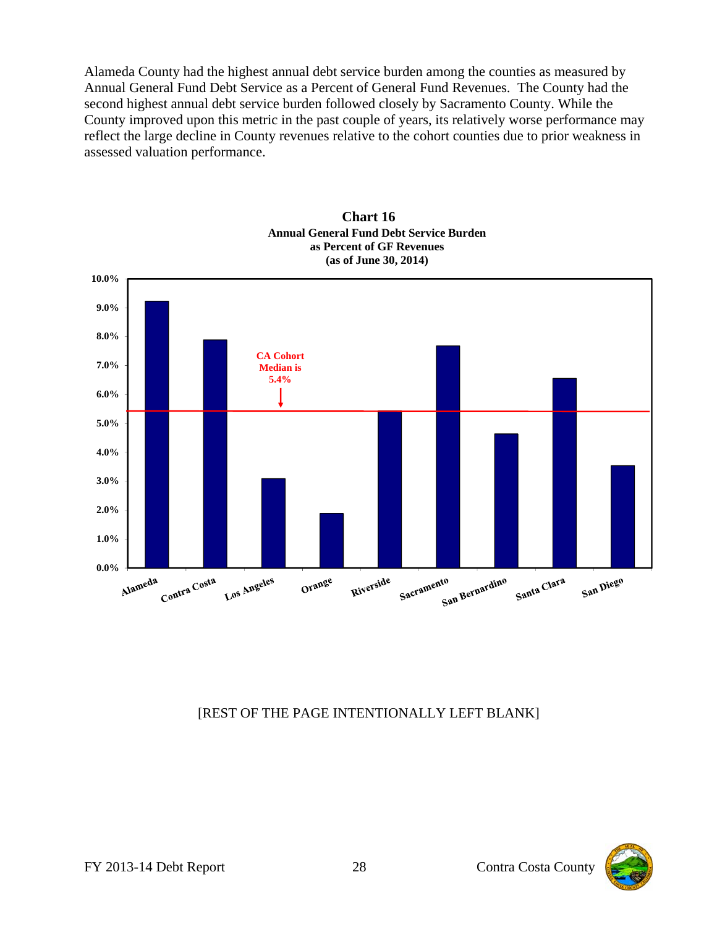Alameda County had the highest annual debt service burden among the counties as measured by Annual General Fund Debt Service as a Percent of General Fund Revenues. The County had the second highest annual debt service burden followed closely by Sacramento County. While the County improved upon this metric in the past couple of years, its relatively worse performance may reflect the large decline in County revenues relative to the cohort counties due to prior weakness in assessed valuation performance.

![](_page_38_Figure_1.jpeg)

![](_page_38_Figure_2.jpeg)

![](_page_38_Picture_4.jpeg)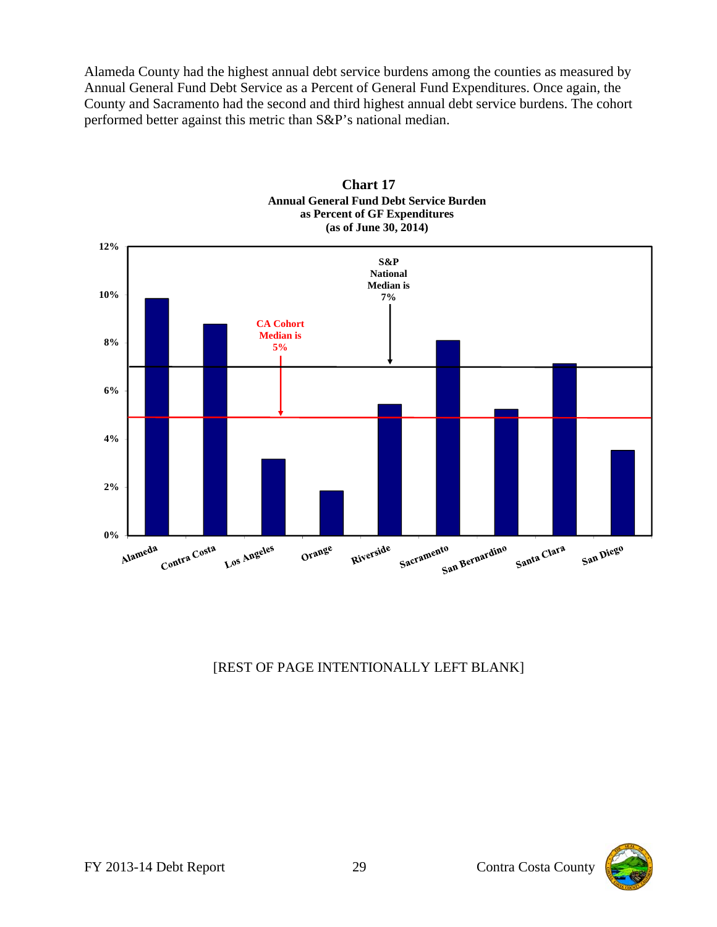Alameda County had the highest annual debt service burdens among the counties as measured by Annual General Fund Debt Service as a Percent of General Fund Expenditures. Once again, the County and Sacramento had the second and third highest annual debt service burdens. The cohort performed better against this metric than S&P's national median.

![](_page_39_Figure_1.jpeg)

#### **Chart 17 Annual General Fund Debt Service Burden as Percent of GF Expenditures (as of June 30, 2014)**

![](_page_39_Picture_4.jpeg)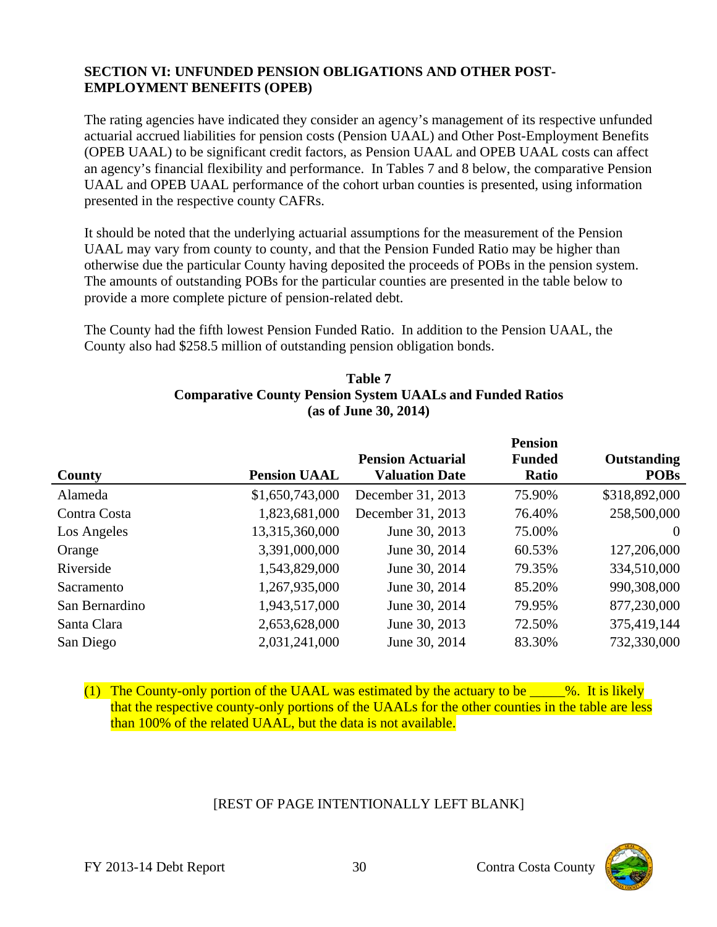## **SECTION VI: UNFUNDED PENSION OBLIGATIONS AND OTHER POST-EMPLOYMENT BENEFITS (OPEB)**

The rating agencies have indicated they consider an agency's management of its respective unfunded actuarial accrued liabilities for pension costs (Pension UAAL) and Other Post-Employment Benefits (OPEB UAAL) to be significant credit factors, as Pension UAAL and OPEB UAAL costs can affect an agency's financial flexibility and performance. In Tables 7 and 8 below, the comparative Pension UAAL and OPEB UAAL performance of the cohort urban counties is presented, using information presented in the respective county CAFRs.

It should be noted that the underlying actuarial assumptions for the measurement of the Pension UAAL may vary from county to county, and that the Pension Funded Ratio may be higher than otherwise due the particular County having deposited the proceeds of POBs in the pension system. The amounts of outstanding POBs for the particular counties are presented in the table below to provide a more complete picture of pension-related debt.

The County had the fifth lowest Pension Funded Ratio. In addition to the Pension UAAL, the County also had \$258.5 million of outstanding pension obligation bonds.

## **Table 7 Comparative County Pension System UAALs and Funded Ratios (as of June 30, 2014)**

|                | <b>Pension</b>      |                          |               |                    |  |  |
|----------------|---------------------|--------------------------|---------------|--------------------|--|--|
|                |                     | <b>Pension Actuarial</b> | <b>Funded</b> | <b>Outstanding</b> |  |  |
| County         | <b>Pension UAAL</b> | <b>Valuation Date</b>    | <b>Ratio</b>  | <b>POBs</b>        |  |  |
| Alameda        | \$1,650,743,000     | December 31, 2013        | 75.90%        | \$318,892,000      |  |  |
| Contra Costa   | 1,823,681,000       | December 31, 2013        | 76.40%        | 258,500,000        |  |  |
| Los Angeles    | 13,315,360,000      | June 30, 2013            | 75.00%        | $\Omega$           |  |  |
| Orange         | 3,391,000,000       | June 30, 2014            | 60.53%        | 127,206,000        |  |  |
| Riverside      | 1,543,829,000       | June 30, 2014            | 79.35%        | 334,510,000        |  |  |
| Sacramento     | 1,267,935,000       | June 30, 2014            | 85.20%        | 990,308,000        |  |  |
| San Bernardino | 1,943,517,000       | June 30, 2014            | 79.95%        | 877,230,000        |  |  |
| Santa Clara    | 2,653,628,000       | June 30, 2013            | 72.50%        | 375,419,144        |  |  |
| San Diego      | 2,031,241,000       | June 30, 2014            | 83.30%        | 732,330,000        |  |  |
|                |                     |                          |               |                    |  |  |

(1) The County-only portion of the UAAL was estimated by the actuary to be  $\frac{1}{2}$ . It is likely that the respective county-only portions of the UAALs for the other counties in the table are less than 100% of the related UAAL, but the data is not available.

![](_page_40_Picture_8.jpeg)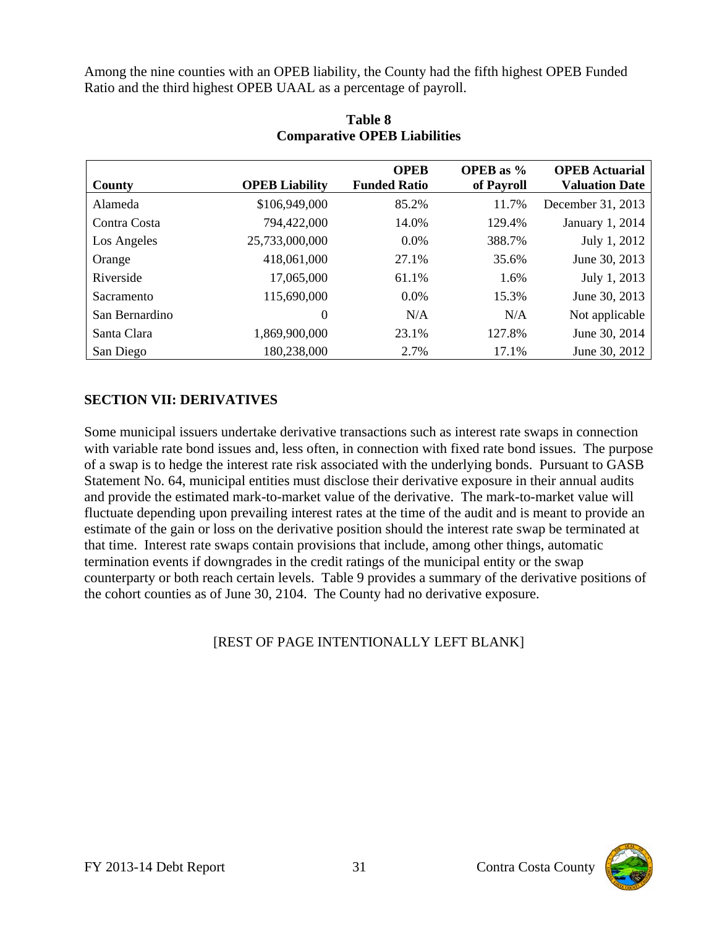Among the nine counties with an OPEB liability, the County had the fifth highest OPEB Funded Ratio and the third highest OPEB UAAL as a percentage of payroll.

| County         | <b>OPEB Liability</b> | <b>OPEB</b><br><b>Funded Ratio</b> | OPER as %<br>of Payroll | <b>OPEB</b> Actuarial<br><b>Valuation Date</b> |
|----------------|-----------------------|------------------------------------|-------------------------|------------------------------------------------|
| Alameda        | \$106,949,000         | 85.2%                              | 11.7%                   | December 31, 2013                              |
| Contra Costa   | 794,422,000           | 14.0%                              | 129.4%                  | January 1, 2014                                |
| Los Angeles    | 25,733,000,000        | $0.0\%$                            | 388.7%                  | July 1, 2012                                   |
| Orange         | 418,061,000           | 27.1%                              | 35.6%                   | June 30, 2013                                  |
| Riverside      | 17,065,000            | 61.1%                              | 1.6%                    | July 1, 2013                                   |
| Sacramento     | 115,690,000           | $0.0\%$                            | 15.3%                   | June 30, 2013                                  |
| San Bernardino | $\theta$              | N/A                                | N/A                     | Not applicable                                 |
| Santa Clara    | 1,869,900,000         | 23.1%                              | 127.8%                  | June 30, 2014                                  |
| San Diego      | 180,238,000           | 2.7%                               | 17.1%                   | June 30, 2012                                  |

## **Table 8 Comparative OPEB Liabilities**

## **SECTION VII: DERIVATIVES**

Some municipal issuers undertake derivative transactions such as interest rate swaps in connection with variable rate bond issues and, less often, in connection with fixed rate bond issues. The purpose of a swap is to hedge the interest rate risk associated with the underlying bonds. Pursuant to GASB Statement No. 64, municipal entities must disclose their derivative exposure in their annual audits and provide the estimated mark-to-market value of the derivative. The mark-to-market value will fluctuate depending upon prevailing interest rates at the time of the audit and is meant to provide an estimate of the gain or loss on the derivative position should the interest rate swap be terminated at that time. Interest rate swaps contain provisions that include, among other things, automatic termination events if downgrades in the credit ratings of the municipal entity or the swap counterparty or both reach certain levels. Table 9 provides a summary of the derivative positions of the cohort counties as of June 30, 2104. The County had no derivative exposure.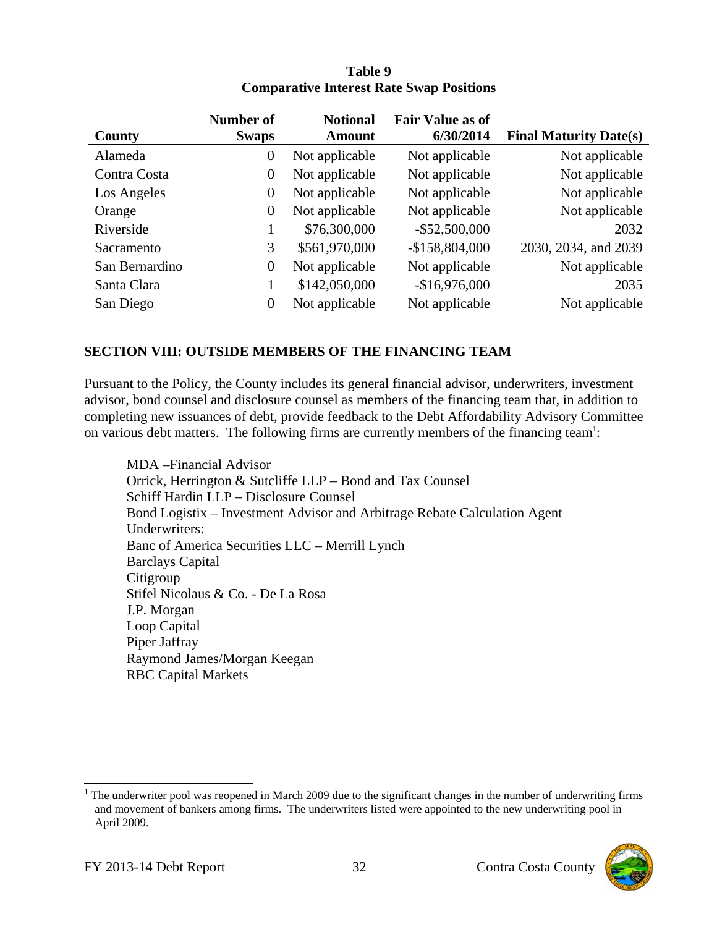|                | <b>Number of</b> | <b>Notional</b> | <b>Fair Value as of</b> |                               |
|----------------|------------------|-----------------|-------------------------|-------------------------------|
| County         | <b>Swaps</b>     | Amount          | 6/30/2014               | <b>Final Maturity Date(s)</b> |
| Alameda        | $\overline{0}$   | Not applicable  | Not applicable          | Not applicable                |
| Contra Costa   | $\overline{0}$   | Not applicable  | Not applicable          | Not applicable                |
| Los Angeles    | $\theta$         | Not applicable  | Not applicable          | Not applicable                |
| Orange         | $\overline{0}$   | Not applicable  | Not applicable          | Not applicable                |
| Riverside      | 1                | \$76,300,000    | $-$ \$52,500,000        | 2032                          |
| Sacramento     | 3                | \$561,970,000   | $-$158,804,000$         | 2030, 2034, and 2039          |
| San Bernardino | $\boldsymbol{0}$ | Not applicable  | Not applicable          | Not applicable                |
| Santa Clara    | 1                | \$142,050,000   | $-$16,976,000$          | 2035                          |
| San Diego      | $\theta$         | Not applicable  | Not applicable          | Not applicable                |

## **Table 9 Comparative Interest Rate Swap Positions**

## **SECTION VIII: OUTSIDE MEMBERS OF THE FINANCING TEAM**

Pursuant to the Policy, the County includes its general financial advisor, underwriters, investment advisor, bond counsel and disclosure counsel as members of the financing team that, in addition to completing new issuances of debt, provide feedback to the Debt Affordability Advisory Committee on various debt matters. The following firms are currently members of the financing team<sup>1</sup>:

MDA –Financial Advisor Orrick, Herrington & Sutcliffe LLP – Bond and Tax Counsel Schiff Hardin LLP – Disclosure Counsel Bond Logistix – Investment Advisor and Arbitrage Rebate Calculation Agent Underwriters: Banc of America Securities LLC – Merrill Lynch Barclays Capital **Citigroup** Stifel Nicolaus & Co. - De La Rosa J.P. Morgan Loop Capital Piper Jaffray Raymond James/Morgan Keegan RBC Capital Markets

<sup>&</sup>lt;sup>1</sup> The underwriter pool was reopened in March 2009 due to the significant changes in the number of underwriting firms and movement of bankers among firms. The underwriters listed were appointed to the new underwriting pool in April 2009.

![](_page_42_Picture_6.jpeg)

 $\overline{\phantom{a}}$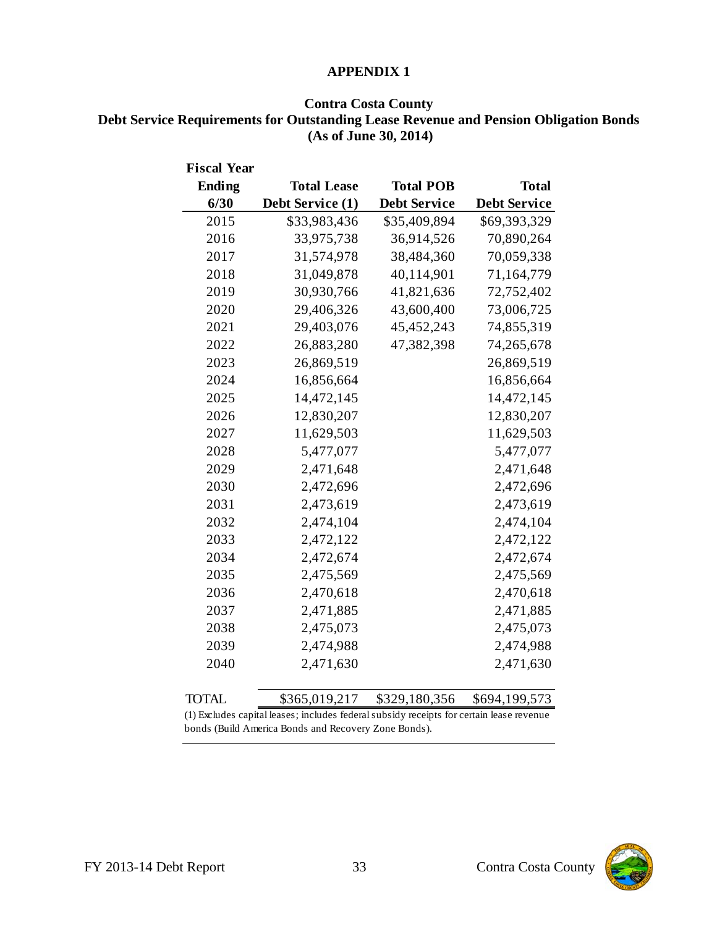#### **APPENDIX 1**

### **Contra Costa County**

## **Debt Service Requirements for Outstanding Lease Revenue and Pension Obligation Bonds (As of June 30, 2014)**

| <b>Fiscal Year</b>                                                                       |                    |                     |                     |  |
|------------------------------------------------------------------------------------------|--------------------|---------------------|---------------------|--|
| Ending                                                                                   | <b>Total Lease</b> | <b>Total POB</b>    | <b>Total</b>        |  |
| 6/30                                                                                     | Debt Service (1)   | <b>Debt Service</b> | <b>Debt Service</b> |  |
| 2015                                                                                     | \$33,983,436       | \$35,409,894        | \$69,393,329        |  |
| 2016                                                                                     | 33,975,738         | 36,914,526          | 70,890,264          |  |
| 2017                                                                                     | 31,574,978         | 38,484,360          | 70,059,338          |  |
| 2018                                                                                     | 31,049,878         | 40,114,901          | 71,164,779          |  |
| 2019                                                                                     | 30,930,766         | 41,821,636          | 72,752,402          |  |
| 2020                                                                                     | 29,406,326         | 43,600,400          | 73,006,725          |  |
| 2021                                                                                     | 29,403,076         | 45,452,243          | 74,855,319          |  |
| 2022                                                                                     | 26,883,280         | 47,382,398          | 74,265,678          |  |
| 2023                                                                                     | 26,869,519         |                     | 26,869,519          |  |
| 2024                                                                                     | 16,856,664         |                     | 16,856,664          |  |
| 2025                                                                                     | 14,472,145         |                     | 14,472,145          |  |
| 2026                                                                                     | 12,830,207         |                     | 12,830,207          |  |
| 2027                                                                                     | 11,629,503         |                     | 11,629,503          |  |
| 2028                                                                                     | 5,477,077          |                     | 5,477,077           |  |
| 2029                                                                                     | 2,471,648          |                     | 2,471,648           |  |
| 2030                                                                                     | 2,472,696          |                     | 2,472,696           |  |
| 2031                                                                                     | 2,473,619          |                     | 2,473,619           |  |
| 2032                                                                                     | 2,474,104          |                     | 2,474,104           |  |
| 2033                                                                                     | 2,472,122          |                     | 2,472,122           |  |
| 2034                                                                                     | 2,472,674          |                     | 2,472,674           |  |
| 2035                                                                                     | 2,475,569          |                     | 2,475,569           |  |
| 2036                                                                                     | 2,470,618          |                     | 2,470,618           |  |
| 2037                                                                                     | 2,471,885          |                     | 2,471,885           |  |
| 2038                                                                                     | 2,475,073          |                     | 2,475,073           |  |
| 2039                                                                                     | 2,474,988          |                     | 2,474,988           |  |
| 2040                                                                                     | 2,471,630          |                     | 2,471,630           |  |
|                                                                                          |                    |                     |                     |  |
| <b>TOTAL</b>                                                                             | \$365,019,217      | \$329,180,356       | \$694,199,573       |  |
| (1) Excludes capital leases; includes federal subsidy receipts for certain lease revenue |                    |                     |                     |  |

bonds (Build America Bonds and Recovery Zone Bonds).

![](_page_43_Picture_5.jpeg)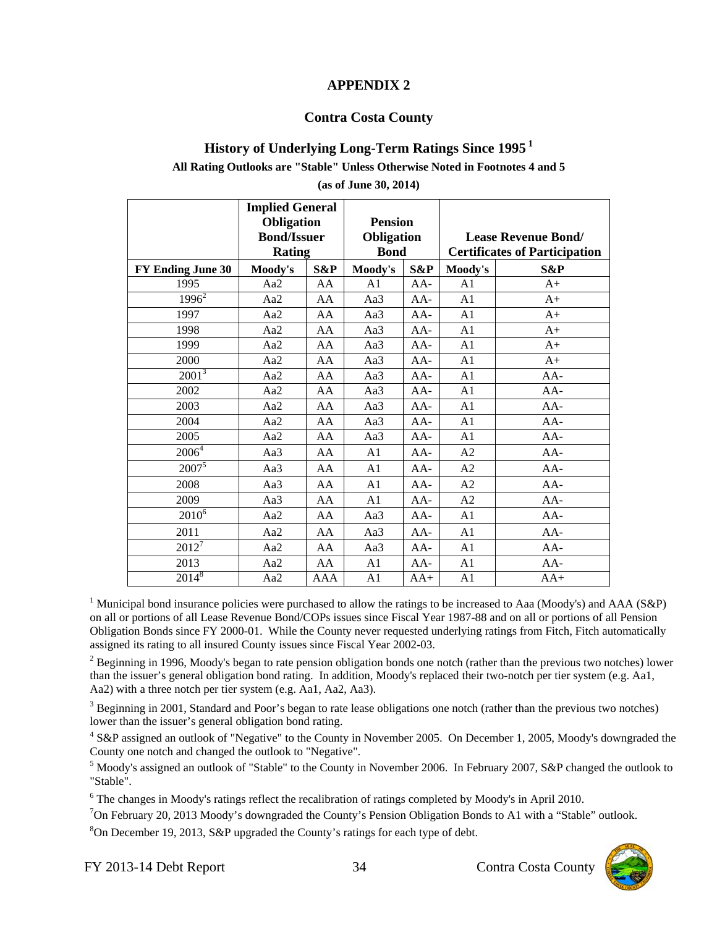### **APPENDIX 2**

#### **Contra Costa County**

# **History of Underlying Long-Term Ratings Since 1995<sup>1</sup>**

**All Rating Outlooks are "Stable" Unless Otherwise Noted in Footnotes 4 and 5**

**(as of June 30, 2014)**

|                       | <b>Implied General</b><br><b>Obligation</b><br><b>Bond/Issuer</b><br><b>Rating</b> |     | <b>Pension</b>                   |       |                                                                    |       |
|-----------------------|------------------------------------------------------------------------------------|-----|----------------------------------|-------|--------------------------------------------------------------------|-------|
|                       |                                                                                    |     | <b>Obligation</b><br><b>Bond</b> |       | <b>Lease Revenue Bond/</b><br><b>Certificates of Participation</b> |       |
|                       |                                                                                    |     |                                  |       |                                                                    |       |
| FY Ending June 30     | Moody's                                                                            | S&P | Moody's                          | S&P   | Moody's                                                            | S&P   |
| 1995                  | Aa2                                                                                | AA  | A <sub>1</sub>                   | $AA-$ | A <sub>1</sub>                                                     | $A+$  |
| $1996^2$              | Aa2                                                                                | AA  | Aa3                              | $AA-$ | A <sub>1</sub>                                                     | $A+$  |
| 1997                  | Aa2                                                                                | AA  | Aa3                              | AA-   | A <sub>1</sub>                                                     | $A+$  |
| 1998                  | Aa2                                                                                | AA  | Aa3                              | AA-   | A1                                                                 | $A+$  |
| 1999                  | Aa2                                                                                | AA  | Aa3                              | AA-   | A <sub>1</sub>                                                     | $A+$  |
| 2000                  | Aa2                                                                                | AA  | Aa3                              | AA-   | A <sub>1</sub>                                                     | $A+$  |
| $2001^3$              | Aa2                                                                                | AA  | Aa3                              | AA-   | A <sub>1</sub>                                                     | $AA-$ |
| 2002                  | Aa2                                                                                | AA  | Aa3                              | AA-   | A <sub>1</sub>                                                     | $AA-$ |
| 2003                  | Aa2                                                                                | AA  | Aa3                              | $AA-$ | A <sub>1</sub>                                                     | AA-   |
| 2004                  | Aa2                                                                                | AA  | Aa3                              | AA-   | A <sub>1</sub>                                                     | AA-   |
| 2005                  | Aa2                                                                                | AA  | Aa3                              | $AA-$ | A1                                                                 | AA-   |
| 2006 <sup>4</sup>     | Aa3                                                                                | AA  | A1                               | $AA-$ | A <sub>2</sub>                                                     | $AA-$ |
| $2007^{5}$            | Aa3                                                                                | AA  | A1                               | $AA-$ | A <sub>2</sub>                                                     | AA-   |
| 2008                  | Aa3                                                                                | AA  | A <sub>1</sub>                   | AA-   | A2                                                                 | AA-   |
| 2009                  | Aa3                                                                                | AA  | A1                               | AA-   | A <sub>2</sub>                                                     | AA-   |
| $2010^{\overline{6}}$ | Aa2                                                                                | AA  | Aa3                              | AA-   | A1                                                                 | AA-   |
| 2011                  | Aa2                                                                                | AA  | Aa3                              | AA-   | A <sub>1</sub>                                                     | AA-   |
| $2012^7$              | Aa2                                                                                | AA  | Aa3                              | $AA-$ | A <sub>1</sub>                                                     | AA-   |
| 2013                  | Aa2                                                                                | AA  | A <sub>1</sub>                   | $AA-$ | A <sub>1</sub>                                                     | $AA-$ |
| $201\overline{4^8}$   | Aa2                                                                                | AAA | A <sub>1</sub>                   | $AA+$ | A <sub>1</sub>                                                     | $AA+$ |

<sup>1</sup> Municipal bond insurance policies were purchased to allow the ratings to be increased to Aaa (Moody's) and AAA (S&P) on all or portions of all Lease Revenue Bond/COPs issues since Fiscal Year 1987-88 and on all or portions of all Pension Obligation Bonds since FY 2000-01. While the County never requested underlying ratings from Fitch, Fitch automatically assigned its rating to all insured County issues since Fiscal Year 2002-03.

 $2^2$  Beginning in 1996, Moody's began to rate pension obligation bonds one notch (rather than the previous two notches) lower than the issuer's general obligation bond rating. In addition, Moody's replaced their two-notch per tier system (e.g. Aa1, Aa2) with a three notch per tier system (e.g. Aa1, Aa2, Aa3).

 $3$  Beginning in 2001, Standard and Poor's began to rate lease obligations one notch (rather than the previous two notches) lower than the issuer's general obligation bond rating.

<sup>4</sup> S&P assigned an outlook of "Negative" to the County in November 2005. On December 1, 2005, Moody's downgraded the County one notch and changed the outlook to "Negative".

<sup>5</sup> Moody's assigned an outlook of "Stable" to the County in November 2006. In February 2007, S&P changed the outlook to "Stable".

<sup>6</sup> The changes in Moody's ratings reflect the recalibration of ratings completed by Moody's in April 2010.

<sup>7</sup>On February 20, 2013 Moody's downgraded the County's Pension Obligation Bonds to A1 with a "Stable" outlook.

<sup>8</sup>On December 19, 2013, S&P upgraded the County's ratings for each type of debt.

![](_page_44_Picture_17.jpeg)